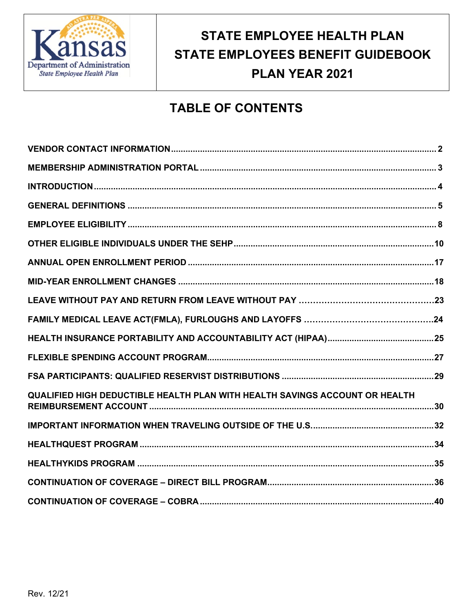

# **STATE EMPLOYEE HEALTH PLAN STATE EMPLOYEES BENEFIT GUIDEBOOK PLAN YEAR 2021**

# **TABLE OF CONTENTS**

| QUALIFIED HIGH DEDUCTIBLE HEALTH PLAN WITH HEALTH SAVINGS ACCOUNT OR HEALTH |
|-----------------------------------------------------------------------------|
|                                                                             |
|                                                                             |
|                                                                             |
|                                                                             |
|                                                                             |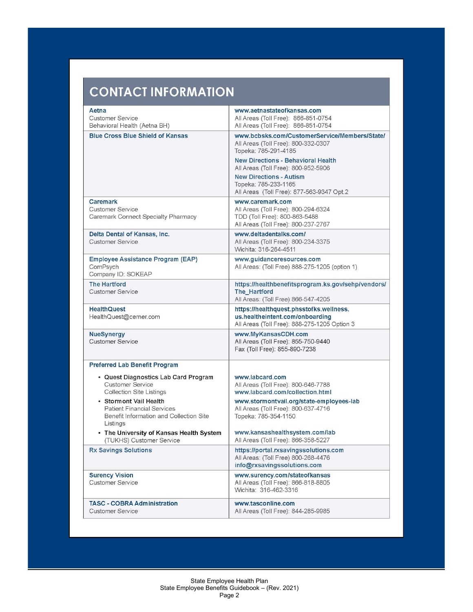# **CONTACT INFORMATION**

| Aetna<br><b>Customer Service</b><br>Behavioral Health (Aetna BH)                                                    | www.aetnastateofkansas.com<br>All Areas (Toll Free): 866-851-0754<br>All Areas (Toll Free): 866-851-0754                        |
|---------------------------------------------------------------------------------------------------------------------|---------------------------------------------------------------------------------------------------------------------------------|
| <b>Blue Cross Blue Shield of Kansas</b>                                                                             | www.bcbsks.com/CustomerService/Members/State/<br>All Areas (Toll Free): 800-332-0307<br>Topeka: 785-291-4185                    |
|                                                                                                                     | <b>New Directions - Behavioral Health</b><br>All Areas (Toll Free): 800-952-5906                                                |
|                                                                                                                     | <b>New Directions - Autism</b><br>Topeka: 785-233-1165<br>All Areas (Toll Free): 877-563-9347 Opt.2                             |
| Caremark<br>Customer Service<br>Caremark Connect Specialty Pharmacy                                                 | www.caremark.com<br>All Areas (Toll Free): 800-294-6324<br>TDD (Toll Free): 800-863-5488<br>All Areas (Toll Free): 800-237-2767 |
| Delta Dental of Kansas, Inc.<br><b>Customer Service</b>                                                             | www.deltadentalks.com/<br>All Areas (Toll Free): 800-234-3375<br>Wichita: 316-264-4511                                          |
| <b>Employee Assistance Program (EAP)</b><br>ComPsych<br>Company ID: SOKEAP                                          | www.guidanceresources.com<br>All Areas: (Toll Free) 888-275-1205 (option 1)                                                     |
| <b>The Hartford</b><br><b>Customer Service</b>                                                                      | https://healthbenefitsprogram.ks.gov/sehp/vendors/<br>The Hartford<br>All Areas: (Toll Free) 866-547-4205                       |
| <b>HealthQuest</b><br>HealthQuest@cerner.com                                                                        | https://healthquest.phsstofks.wellness.<br>us.healtheintent.com/onboarding<br>All Areas (Toll Free): 888-275-1205 Option 3      |
| <b>NueSynergy</b><br><b>Customer Service</b>                                                                        | www.MyKansasCDH.com<br>All Areas (Toll Free): 855-750-9440<br>Fax (Toll Free): 855-890-7238                                     |
| <b>Preferred Lab Benefit Program</b>                                                                                |                                                                                                                                 |
| • Quest Diagnostics Lab Card Program<br><b>Customer Service</b><br>Collection Site Listings                         | www.labcard.com<br>All Areas (Toll Free): 800-646-7788<br>www.labcard.com/collection.html                                       |
| • Storm ont Vail Health<br><b>Patient Financial Services</b><br>Benefit Information and Collection Site<br>Listings | www.stormontvail.org/state-employees-lab<br>All Areas (Toll Free): 800-637-4716<br>Topeka: 785-354-1150                         |
| • The University of Kansas Health System<br>(TUKHS) Customer Service                                                | www.kansashealthsystem.com/lab<br>All Areas (Toll Free): 866-358-5227                                                           |
| <b>Rx Savings Solutions</b>                                                                                         | https://portal.rxsavingssolutions.com<br>All Areas: (Toll Free) 800-268-4476<br>info@rxsavingssolutions.com                     |
| <b>Surency Vision</b><br><b>Customer Service</b>                                                                    | www.surency.com/stateofkansas<br>All Areas (Toll Free): 866-818-8805<br>Wichita: 316-462-3316                                   |
| <b>TASC - COBRA Administration</b><br>Customer Service                                                              | www.tasconline.com<br>All Areas (Toll Free): 844-285-9985                                                                       |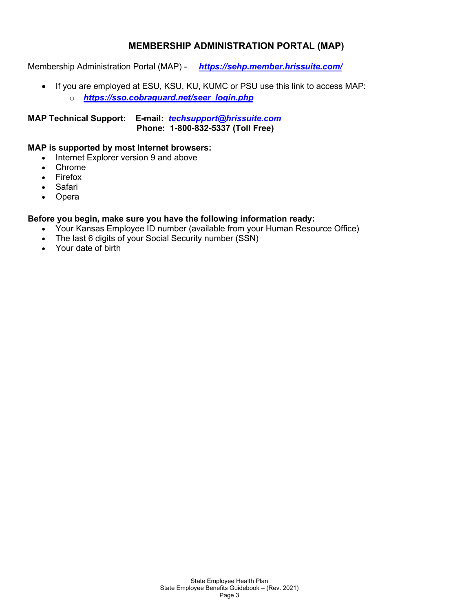# **MEMBERSHIP ADMINISTRATION PORTAL (MAP)**

Membership Administration Portal (MAP) - *<https://sehp.member.hrissuite.com/>*

• If you are employed at ESU, KSU, KU, KUMC or PSU use this link to access MAP: o *[https://sso.cobraguard.net/seer\\_login.php](https://sso.cobraguard.net/seer_login.php)*

**MAP Technical Support: E-mail:** *[techsupport@hrissuite.com](mailto:techsupport@hrissuite.com)*  **Phone: 1-800-832-5337 (Toll Free)**

#### **MAP is supported by most Internet browsers:**

- Internet Explorer version 9 and above
- Chrome
- Firefox
- Safari
- Opera

#### **Before you begin, make sure you have the following information ready:**

- Your Kansas Employee ID number (available from your Human Resource Office)
- The last 6 digits of your Social Security number (SSN)
- Your date of birth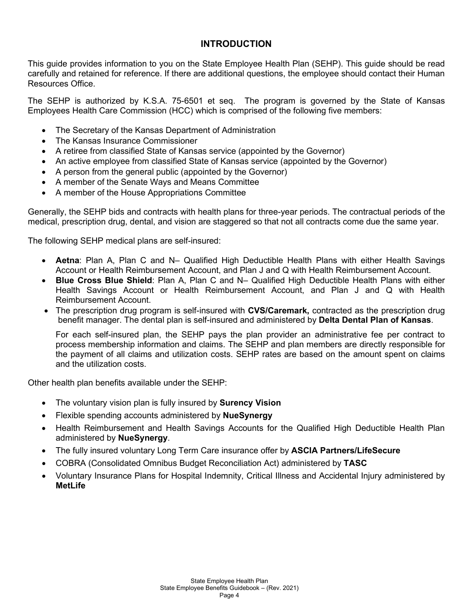# **INTRODUCTION**

This guide provides information to you on the State Employee Health Plan (SEHP). This guide should be read carefully and retained for reference. If there are additional questions, the employee should contact their Human Resources Office.

The SEHP is authorized by K.S.A. 75-6501 et seq. The program is governed by the State of Kansas Employees Health Care Commission (HCC) which is comprised of the following five members:

- The Secretary of the Kansas Department of Administration
- The Kansas Insurance Commissioner
- A retiree from classified State of Kansas service (appointed by the Governor)
- An active employee from classified State of Kansas service (appointed by the Governor)
- A person from the general public (appointed by the Governor)
- A member of the Senate Ways and Means Committee
- A member of the House Appropriations Committee

Generally, the SEHP bids and contracts with health plans for three-year periods. The contractual periods of the medical, prescription drug, dental, and vision are staggered so that not all contracts come due the same year.

The following SEHP medical plans are self-insured:

- **Aetna**: Plan A, Plan C and N– Qualified High Deductible Health Plans with either Health Savings Account or Health Reimbursement Account, and Plan J and Q with Health Reimbursement Account.
- **Blue Cross Blue Shield**: Plan A, Plan C and N– Qualified High Deductible Health Plans with either Health Savings Account or Health Reimbursement Account, and Plan J and Q with Health Reimbursement Account.
- The prescription drug program is self-insured with **CVS/Caremark,** contracted as the prescription drug benefit manager. The dental plan is self-insured and administered by **Delta Dental Plan of Kansas**.

For each self-insured plan, the SEHP pays the plan provider an administrative fee per contract to process membership information and claims. The SEHP and plan members are directly responsible for the payment of all claims and utilization costs. SEHP rates are based on the amount spent on claims and the utilization costs.

Other health plan benefits available under the SEHP:

- The voluntary vision plan is fully insured by **Surency Vision**
- Flexible spending accounts administered by **NueSynergy**
- Health Reimbursement and Health Savings Accounts for the Qualified High Deductible Health Plan administered by **NueSynergy**.
- The fully insured voluntary Long Term Care insurance offer by **ASCIA Partners/LifeSecure**
- COBRA (Consolidated Omnibus Budget Reconciliation Act) administered by **TASC**
- Voluntary Insurance Plans for Hospital Indemnity, Critical Illness and Accidental Injury administered by **MetLife**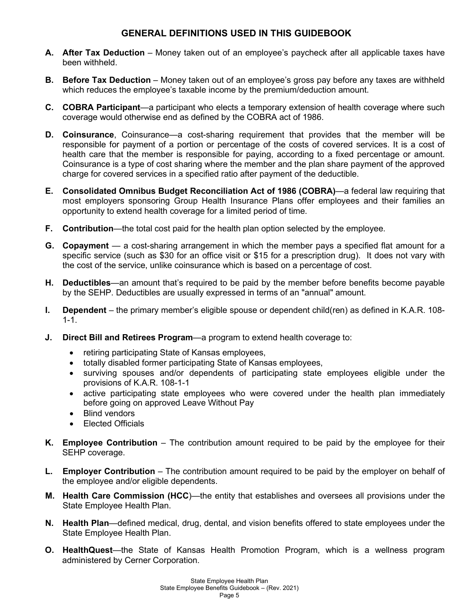# **GENERAL DEFINITIONS USED IN THIS GUIDEBOOK**

- **A. After Tax Deduction** Money taken out of an employee's paycheck after all applicable taxes have been withheld.
- **B. Before Tax Deduction** Money taken out of an employee's gross pay before any taxes are withheld which reduces the employee's taxable income by the premium/deduction amount.
- **C. COBRA Participant**—a participant who elects a temporary extension of health coverage where such coverage would otherwise end as defined by the COBRA act of 1986.
- **D. Coinsurance**, Coinsurance—a cost-sharing requirement that provides that the member will be responsible for payment of a portion or percentage of the costs of covered services. It is a cost of health care that the member is responsible for paying, according to a fixed percentage or amount. Coinsurance is a type of cost sharing where the member and the plan share payment of the approved charge for covered services in a specified ratio after payment of the deductible.
- **E. Consolidated Omnibus Budget Reconciliation Act of 1986 (COBRA)**—a federal law requiring that most employers sponsoring Group Health Insurance Plans offer employees and their families an opportunity to extend health coverage for a limited period of time.
- **F. Contribution**—the total cost paid for the health plan option selected by the employee.
- **G. Copayment** a cost-sharing arrangement in which the member pays a specified flat amount for a specific service (such as \$30 for an office visit or \$15 for a prescription drug). It does not vary with the cost of the service, unlike coinsurance which is based on a percentage of cost.
- **H. Deductibles**—an amount that's required to be paid by the member before benefits become payable by the SEHP. Deductibles are usually expressed in terms of an "annual" amount.
- **I. Dependent** the primary member's eligible spouse or dependent child(ren) as defined in K.A.R. 108-1-1.
- **J. Direct Bill and Retirees Program**—a program to extend health coverage to:
	- retiring participating State of Kansas employees,
	- totally disabled former participating State of Kansas employees,
	- surviving spouses and/or dependents of participating state employees eligible under the provisions of K.A.R. 108-1-1
	- active participating state employees who were covered under the health plan immediately before going on approved Leave Without Pay
	- Blind vendors
	- Elected Officials
- **K. Employee Contribution** The contribution amount required to be paid by the employee for their SEHP coverage.
- **L. Employer Contribution** The contribution amount required to be paid by the employer on behalf of the employee and/or eligible dependents.
- **M. Health Care Commission (HCC**)—the entity that establishes and oversees all provisions under the State Employee Health Plan.
- **N. Health Plan**—defined medical, drug, dental, and vision benefits offered to state employees under the State Employee Health Plan.
- **O. HealthQuest**—the State of Kansas Health Promotion Program, which is a wellness program administered by Cerner Corporation.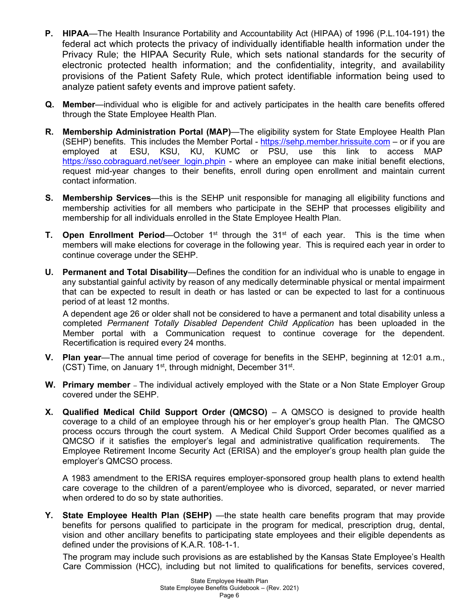- **P. HIPAA**—The Health Insurance Portability and Accountability Act (HIPAA) of 1996 (P.L.104-191) the federal act which protects the privacy of individually identifiable health information under the Privacy Rule; the HIPAA Security Rule, which sets national standards for the security of electronic protected health information; and the confidentiality, integrity, and availability provisions of the Patient Safety Rule, which protect identifiable information being used to analyze patient safety events and improve patient safety.
- **Q. Member**—individual who is eligible for and actively participates in the health care benefits offered through the State Employee Health Plan.
- **R. Membership Administration Portal (MAP)**—The eligibility system for State Employee Health Plan (SEHP) benefits. This includes the Member Portal - [https://sehp.member.hrissuite.com](https://sehp.member.hrissuite.com/auth/login) – or if you are employed at ESU, KSU, KU, KUMC or PSU, use this link to access MAP [https://sso.cobraguard.net/seer\\_login.phpin](https://sso.cobraguard.net/seer_login.phpin) - where an employee can make initial benefit elections, request mid-year changes to their benefits, enroll during open enrollment and maintain current contact information.
- **S. Membership Services**—this is the SEHP unit responsible for managing all eligibility functions and membership activities for all members who participate in the SEHP that processes eligibility and membership for all individuals enrolled in the State Employee Health Plan.
- **T.** Open Enrollment Period—October 1<sup>st</sup> through the 31<sup>st</sup> of each year. This is the time when members will make elections for coverage in the following year. This is required each year in order to continue coverage under the SEHP.
- **U. Permanent and Total Disability**—Defines the condition for an individual who is unable to engage in any substantial gainful activity by reason of any medically determinable physical or mental impairment that can be expected to result in death or has lasted or can be expected to last for a continuous period of at least 12 months.

A dependent age 26 or older shall not be considered to have a permanent and total disability unless a completed *Permanent Totally Disabled Dependent Child Application* has been uploaded in the Member portal with a Communication request to continue coverage for the dependent. Recertification is required every 24 months.

- **V. Plan year**—The annual time period of coverage for benefits in the SEHP, beginning at 12:01 a.m., (CST) Time, on January  $1<sup>st</sup>$ , through midnight, December  $31<sup>st</sup>$ .
- **W. Primary member**  The individual actively employed with the State or a Non State Employer Group covered under the SEHP.
- **X. Qualified Medical Child Support Order (QMCSO)** A QMSCO is designed to provide health coverage to a child of an employee through his or her employer's group health Plan. The QMCSO process occurs through the court system. A Medical Child Support Order becomes qualified as a QMCSO if it satisfies the employer's legal and administrative qualification requirements. The Employee Retirement Income Security Act (ERISA) and the employer's group health plan guide the employer's QMCSO process.

A 1983 amendment to the ERISA requires employer-sponsored group health plans to extend health care coverage to the children of a parent/employee who is divorced, separated, or never married when ordered to do so by state authorities.

**Y. State Employee Health Plan (SEHP)** —the state health care benefits program that may provide benefits for persons qualified to participate in the program for medical, prescription drug, dental, vision and other ancillary benefits to participating state employees and their eligible dependents as defined under the provisions of K.A.R. 108-1-1.

The program may include such provisions as are established by the Kansas State Employee's Health Care Commission (HCC), including but not limited to qualifications for benefits, services covered,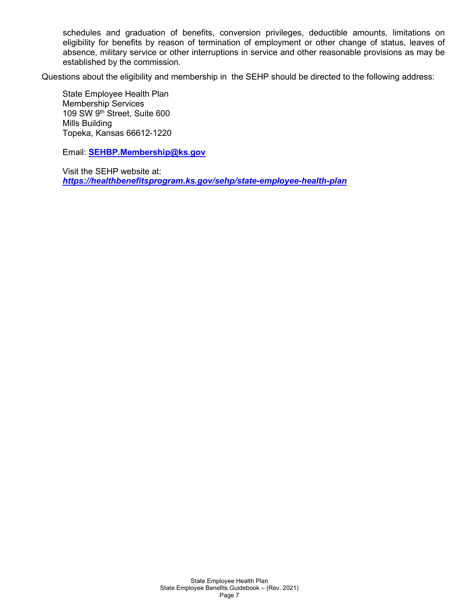schedules and graduation of benefits, conversion privileges, deductible amounts, limitations on eligibility for benefits by reason of termination of employment or other change of status, leaves of absence, military service or other interruptions in service and other reasonable provisions as may be established by the commission.

Questions about the eligibility and membership in the SEHP should be directed to the following address:

State Employee Health Plan Membership Services 109 SW 9th Street, Suite 600 Mills Building Topeka, Kansas 66612-1220

Email: **[SEHBP.Membership@ks.gov](mailto:SEHBP.Membership@ks.gov)**

Visit the SEHP website at: *<https://healthbenefitsprogram.ks.gov/sehp/state-employee-health-plan>*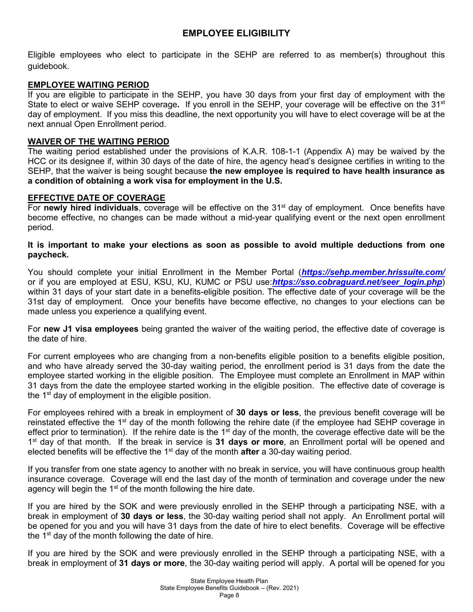# **EMPLOYEE ELIGIBILITY**

Eligible employees who elect to participate in the SEHP are referred to as member(s) throughout this guidebook.

# **EMPLOYEE WAITING PERIOD**

If you are eligible to participate in the SEHP, you have 30 days from your first day of employment with the State to elect or waive SEHP coverage. If you enroll in the SEHP, your coverage will be effective on the 31<sup>st</sup> day of employment. If you miss this deadline, the next opportunity you will have to elect coverage will be at the next annual Open Enrollment period.

## **WAIVER OF THE WAITING PERIOD**

The waiting period established under the provisions of K.A.R. 108-1-1 (Appendix A) may be waived by the HCC or its designee if, within 30 days of the date of hire, the agency head's designee certifies in writing to the SEHP, that the waiver is being sought because **the new employee is required to have health insurance as a condition of obtaining a work visa for employment in the U.S.**

## **EFFECTIVE DATE OF COVERAGE**

For **newly hired individuals**, coverage will be effective on the 31st day of employment. Once benefits have become effective, no changes can be made without a mid-year qualifying event or the next open enrollment period.

## **It is important to make your elections as soon as possible to avoid multiple deductions from one paycheck.**

You should complete your initial Enrollment in the Member Portal (*<https://sehp.member.hrissuite.com/>* or if you are employed at ESU, KSU, KU, KUMC or PSU use:*[https://sso.cobraguard.net/seer\\_login.php](https://sso.cobraguard.net/seer_login.php)*) within 31 days of your start date in a benefits-eligible position. The effective date of your coverage will be the 31st day of employment. Once your benefits have become effective, no changes to your elections can be made unless you experience a qualifying event.

For **new J1 visa employees** being granted the waiver of the waiting period, the effective date of coverage is the date of hire.

For current employees who are changing from a non-benefits eligible position to a benefits eligible position, and who have already served the 30-day waiting period, the enrollment period is 31 days from the date the employee started working in the eligible position. The Employee must complete an Enrollment in MAP within 31 days from the date the employee started working in the eligible position. The effective date of coverage is the  $1<sup>st</sup>$  day of employment in the eligible position.

For employees rehired with a break in employment of **30 days or less**, the previous benefit coverage will be reinstated effective the 1<sup>st</sup> day of the month following the rehire date (if the employee had SEHP coverage in effect prior to termination). If the rehire date is the 1<sup>st</sup> day of the month, the coverage effective date will be the 1st day of that month. If the break in service is **31 days or more**, an Enrollment portal will be opened and elected benefits will be effective the 1st day of the month **after** a 30-day waiting period.

If you transfer from one state agency to another with no break in service, you will have continuous group health insurance coverage. Coverage will end the last day of the month of termination and coverage under the new agency will begin the  $1<sup>st</sup>$  of the month following the hire date.

If you are hired by the SOK and were previously enrolled in the SEHP through a participating NSE, with a break in employment of **30 days or less**, the 30-day waiting period shall not apply. An Enrollment portal will be opened for you and you will have 31 days from the date of hire to elect benefits. Coverage will be effective the  $1<sup>st</sup>$  day of the month following the date of hire.

If you are hired by the SOK and were previously enrolled in the SEHP through a participating NSE, with a break in employment of **31 days or more**, the 30-day waiting period will apply. A portal will be opened for you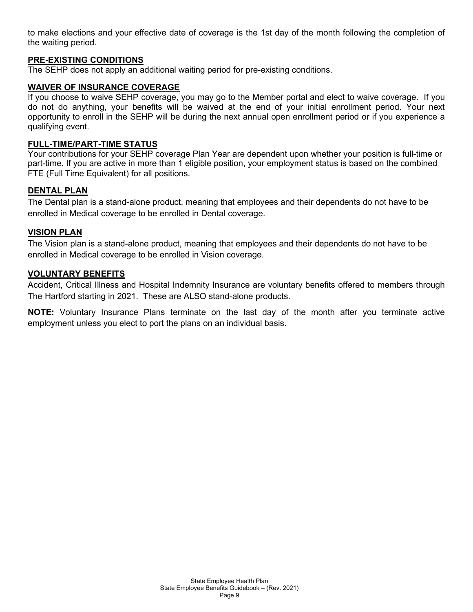to make elections and your effective date of coverage is the 1st day of the month following the completion of the waiting period.

# **PRE-EXISTING CONDITIONS**

The SEHP does not apply an additional waiting period for pre-existing conditions.

#### **WAIVER OF INSURANCE COVERAGE**

If you choose to waive SEHP coverage, you may go to the Member portal and elect to waive coverage. If you do not do anything, your benefits will be waived at the end of your initial enrollment period. Your next opportunity to enroll in the SEHP will be during the next annual open enrollment period or if you experience a qualifying event.

#### **FULL-TIME/PART-TIME STATUS**

Your contributions for your SEHP coverage Plan Year are dependent upon whether your position is full-time or part-time. If you are active in more than 1 eligible position, your employment status is based on the combined FTE (Full Time Equivalent) for all positions.

## **DENTAL PLAN**

The Dental plan is a stand-alone product, meaning that employees and their dependents do not have to be enrolled in Medical coverage to be enrolled in Dental coverage.

## **VISION PLAN**

The Vision plan is a stand-alone product, meaning that employees and their dependents do not have to be enrolled in Medical coverage to be enrolled in Vision coverage.

## **VOLUNTARY BENEFITS**

Accident, Critical Illness and Hospital Indemnity Insurance are voluntary benefits offered to members through The Hartford starting in 2021. These are ALSO stand-alone products.

**NOTE:** Voluntary Insurance Plans terminate on the last day of the month after you terminate active employment unless you elect to port the plans on an individual basis.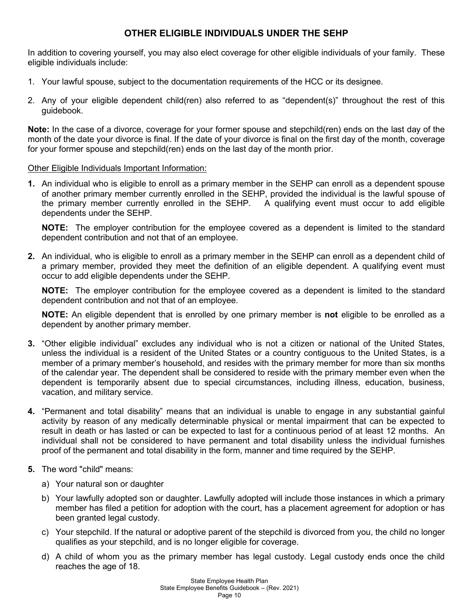# **OTHER ELIGIBLE INDIVIDUALS UNDER THE SEHP**

In addition to covering yourself, you may also elect coverage for other eligible individuals of your family. These eligible individuals include:

- 1. Your lawful spouse, subject to the documentation requirements of the HCC or its designee.
- 2. Any of your eligible dependent child(ren) also referred to as "dependent(s)" throughout the rest of this guidebook.

**Note:** In the case of a divorce, coverage for your former spouse and stepchild(ren) ends on the last day of the month of the date your divorce is final. If the date of your divorce is final on the first day of the month, coverage for your former spouse and stepchild(ren) ends on the last day of the month prior.

# Other Eligible Individuals Important Information:

**1.** An individual who is eligible to enroll as a primary member in the SEHP can enroll as a dependent spouse of another primary member currently enrolled in the SEHP, provided the individual is the lawful spouse of the primary member currently enrolled in the SEHP. A qualifying event must occur to add eligible dependents under the SEHP.

**NOTE:** The employer contribution for the employee covered as a dependent is limited to the standard dependent contribution and not that of an employee.

**2.** An individual, who is eligible to enroll as a primary member in the SEHP can enroll as a dependent child of a primary member, provided they meet the definition of an eligible dependent. A qualifying event must occur to add eligible dependents under the SEHP.

**NOTE:** The employer contribution for the employee covered as a dependent is limited to the standard dependent contribution and not that of an employee.

**NOTE:** An eligible dependent that is enrolled by one primary member is **not** eligible to be enrolled as a dependent by another primary member.

- **3.** "Other eligible individual" excludes any individual who is not a citizen or national of the United States, unless the individual is a resident of the United States or a country contiguous to the United States, is a member of a primary member's household, and resides with the primary member for more than six months of the calendar year. The dependent shall be considered to reside with the primary member even when the dependent is temporarily absent due to special circumstances, including illness, education, business, vacation, and military service.
- **4.** "Permanent and total disability" means that an individual is unable to engage in any substantial gainful activity by reason of any medically determinable physical or mental impairment that can be expected to result in death or has lasted or can be expected to last for a continuous period of at least 12 months. An individual shall not be considered to have permanent and total disability unless the individual furnishes proof of the permanent and total disability in the form, manner and time required by the SEHP.
- **5.** The word "child" means:
	- a) Your natural son or daughter
	- b) Your lawfully adopted son or daughter. Lawfully adopted will include those instances in which a primary member has filed a petition for adoption with the court, has a placement agreement for adoption or has been granted legal custody.
	- c) Your stepchild. If the natural or adoptive parent of the stepchild is divorced from you, the child no longer qualifies as your stepchild, and is no longer eligible for coverage.
	- d) A child of whom you as the primary member has legal custody. Legal custody ends once the child reaches the age of 18.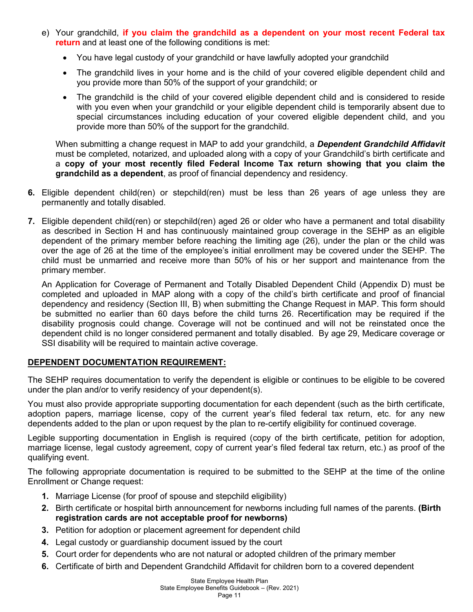- e) Your grandchild, **if you claim the grandchild as a dependent on your most recent Federal tax return** and at least one of the following conditions is met:
	- You have legal custody of your grandchild or have lawfully adopted your grandchild
	- The grandchild lives in your home and is the child of your covered eligible dependent child and you provide more than 50% of the support of your grandchild; or
	- The grandchild is the child of your covered eligible dependent child and is considered to reside with you even when your grandchild or your eligible dependent child is temporarily absent due to special circumstances including education of your covered eligible dependent child, and you provide more than 50% of the support for the grandchild.

When submitting a change request in MAP to add your grandchild, a *Dependent Grandchild Affidavit* must be completed, notarized, and uploaded along with a copy of your Grandchild's birth certificate and a **copy of your most recently filed Federal Income Tax return showing that you claim the grandchild as a dependent**, as proof of financial dependency and residency.

- **6.** Eligible dependent child(ren) or stepchild(ren) must be less than 26 years of age unless they are permanently and totally disabled.
- **7.** Eligible dependent child(ren) or stepchild(ren) aged 26 or older who have a permanent and total disability as described in Section H and has continuously maintained group coverage in the SEHP as an eligible dependent of the primary member before reaching the limiting age (26), under the plan or the child was over the age of 26 at the time of the employee's initial enrollment may be covered under the SEHP. The child must be unmarried and receive more than 50% of his or her support and maintenance from the primary member.

An Application for Coverage of Permanent and Totally Disabled Dependent Child (Appendix D) must be completed and uploaded in MAP along with a copy of the child's birth certificate and proof of financial dependency and residency (Section III, B) when submitting the Change Request in MAP. This form should be submitted no earlier than 60 days before the child turns 26. Recertification may be required if the disability prognosis could change. Coverage will not be continued and will not be reinstated once the dependent child is no longer considered permanent and totally disabled. By age 29, Medicare coverage or SSI disability will be required to maintain active coverage.

# **DEPENDENT DOCUMENTATION REQUIREMENT:**

The SEHP requires documentation to verify the dependent is eligible or continues to be eligible to be covered under the plan and/or to verify residency of your dependent(s).

You must also provide appropriate supporting documentation for each dependent (such as the birth certificate, adoption papers, marriage license, copy of the current year's filed federal tax return, etc. for any new dependents added to the plan or upon request by the plan to re-certify eligibility for continued coverage.

Legible supporting documentation in English is required (copy of the birth certificate, petition for adoption, marriage license, legal custody agreement, copy of current year's filed federal tax return, etc.) as proof of the qualifying event.

The following appropriate documentation is required to be submitted to the SEHP at the time of the online Enrollment or Change request:

- **1.** Marriage License (for proof of spouse and stepchild eligibility)
- **2.** Birth certificate or hospital birth announcement for newborns including full names of the parents. **(Birth registration cards are not acceptable proof for newborns)**
- **3.** Petition for adoption or placement agreement for dependent child
- **4.** Legal custody or guardianship document issued by the court
- **5.** Court order for dependents who are not natural or adopted children of the primary member
- **6.** Certificate of birth and Dependent Grandchild Affidavit for children born to a covered dependent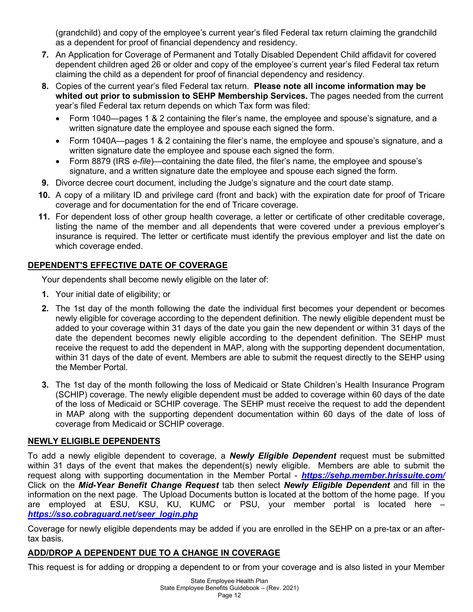(grandchild) and copy of the employee's current year's filed Federal tax return claiming the grandchild as a dependent for proof of financial dependency and residency.

- **7.** An Application for Coverage of Permanent and Totally Disabled Dependent Child affidavit for covered dependent children aged 26 or older and copy of the employee's current year's filed Federal tax return claiming the child as a dependent for proof of financial dependency and residency.
- **8.** Copies of the current year's filed Federal tax return. **Please note all income information may be whited out prior to submission to SEHP Membership Services.** The pages needed from the current year's filed Federal tax return depends on which Tax form was filed:
	- Form 1040—pages 1 & 2 containing the filer's name, the employee and spouse's signature, and a written signature date the employee and spouse each signed the form.
	- Form 1040A—pages 1 & 2 containing the filer's name, the employee and spouse's signature, and a written signature date the employee and spouse each signed the form.
	- Form 8879 (IRS *e-file*)—containing the date filed, the filer's name, the employee and spouse's signature, and a written signature date the employee and spouse each signed the form.
- **9.** Divorce decree court document, including the Judge's signature and the court date stamp.
- **10.** A copy of a military ID and privilege card (front and back) with the expiration date for proof of Tricare coverage and for documentation for the end of Tricare coverage.
- **11.** For dependent loss of other group health coverage, a letter or certificate of other creditable coverage, listing the name of the member and all dependents that were covered under a previous employer's insurance is required. The letter or certificate must identify the previous employer and list the date on which coverage ended.

# **DEPENDENT'S EFFECTIVE DATE OF COVERAGE**

Your dependents shall become newly eligible on the later of:

- **1.** Your initial date of eligibility; or
- **2.** The 1st day of the month following the date the individual first becomes your dependent or becomes newly eligible for coverage according to the dependent definition. The newly eligible dependent must be added to your coverage within 31 days of the date you gain the new dependent or within 31 days of the date the dependent becomes newly eligible according to the dependent definition. The SEHP must receive the request to add the dependent in MAP, along with the supporting dependent documentation, within 31 days of the date of event. Members are able to submit the request directly to the SEHP using the Member Portal.
- **3.** The 1st day of the month following the loss of Medicaid or State Children's Health Insurance Program (SCHIP) coverage. The newly eligible dependent must be added to coverage within 60 days of the date of the loss of Medicaid or SCHIP coverage. The SEHP must receive the request to add the dependent in MAP along with the supporting dependent documentation within 60 days of the date of loss of coverage from Medicaid or SCHIP coverage.

# **NEWLY ELIGIBLE DEPENDENTS**

To add a newly eligible dependent to coverage, a *Newly Eligible Dependent* request must be submitted within 31 days of the event that makes the dependent(s) newly eligible. Members are able to submit the request along with supporting documentation in the Member Portal - *<https://sehp.member.hrissuite.com/>* Click on the *Mid-Year Benefit Change Request* tab then select *Newly Eligible Dependent* and fill in the information on the next page. The Upload Documents button is located at the bottom of the home page. If you are employed at ESU, KSU, KU, KUMC or PSU, your member portal is located here – *[https://sso.cobraguard.net/seer\\_login.php](https://sso.cobraguard.net/seer_login.php)*

Coverage for newly eligible dependents may be added if you are enrolled in the SEHP on a pre-tax or an aftertax basis.

# **ADD/DROP A DEPENDENT DUE TO A CHANGE IN COVERAGE**

This request is for adding or dropping a dependent to or from your coverage and is also listed in your Member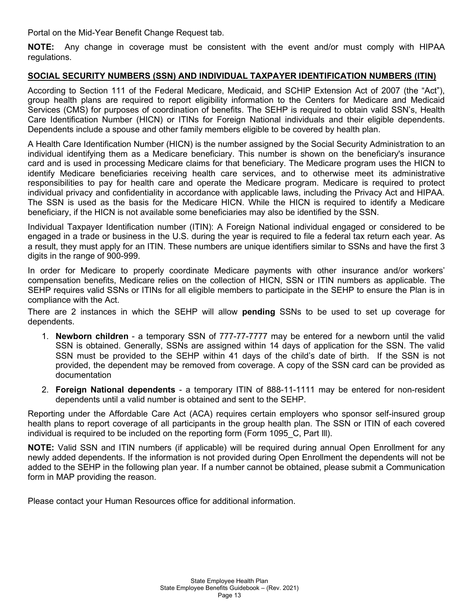Portal on the Mid-Year Benefit Change Request tab.

**NOTE:** Any change in coverage must be consistent with the event and/or must comply with HIPAA regulations.

## **SOCIAL SECURITY NUMBERS (SSN) AND INDIVIDUAL TAXPAYER IDENTIFICATION NUMBERS (ITIN)**

According to Section 111 of the Federal Medicare, Medicaid, and SCHIP Extension Act of 2007 (the "Act"), group health plans are required to report eligibility information to the Centers for Medicare and Medicaid Services (CMS) for purposes of coordination of benefits. The SEHP is required to obtain valid SSN's, Health Care Identification Number (HICN) or ITINs for Foreign National individuals and their eligible dependents. Dependents include a spouse and other family members eligible to be covered by health plan.

A Health Care Identification Number (HICN) is the number assigned by the Social Security Administration to an individual identifying them as a Medicare beneficiary. This number is shown on the beneficiary's insurance card and is used in processing Medicare claims for that beneficiary. The Medicare program uses the HICN to identify Medicare beneficiaries receiving health care services, and to otherwise meet its administrative responsibilities to pay for health care and operate the Medicare program. Medicare is required to protect individual privacy and confidentiality in accordance with applicable laws, including the Privacy Act and HIPAA. The SSN is used as the basis for the Medicare HICN. While the HICN is required to identify a Medicare beneficiary, if the HICN is not available some beneficiaries may also be identified by the SSN.

Individual Taxpayer Identification number (ITIN): A Foreign National individual engaged or considered to be engaged in a trade or business in the U.S. during the year is required to file a federal tax return each year. As a result, they must apply for an ITIN. These numbers are unique identifiers similar to SSNs and have the first 3 digits in the range of 900-999.

In order for Medicare to properly coordinate Medicare payments with other insurance and/or workers' compensation benefits, Medicare relies on the collection of HICN, SSN or ITIN numbers as applicable. The SEHP requires valid SSNs or ITINs for all eligible members to participate in the SEHP to ensure the Plan is in compliance with the Act.

There are 2 instances in which the SEHP will allow **pending** SSNs to be used to set up coverage for dependents.

- 1. **Newborn children** a temporary SSN of 777-77-7777 may be entered for a newborn until the valid SSN is obtained. Generally, SSNs are assigned within 14 days of application for the SSN. The valid SSN must be provided to the SEHP within 41 days of the child's date of birth. If the SSN is not provided, the dependent may be removed from coverage. A copy of the SSN card can be provided as documentation
- 2. **Foreign National dependents** a temporary ITIN of 888-11-1111 may be entered for non-resident dependents until a valid number is obtained and sent to the SEHP.

Reporting under the Affordable Care Act (ACA) requires certain employers who sponsor self-insured group health plans to report coverage of all participants in the group health plan. The SSN or ITIN of each covered individual is required to be included on the reporting form (Form 1095 C, Part III).

**NOTE:** Valid SSN and ITIN numbers (if applicable) will be required during annual Open Enrollment for any newly added dependents. If the information is not provided during Open Enrollment the dependents will not be added to the SEHP in the following plan year. If a number cannot be obtained, please submit a Communication form in MAP providing the reason.

Please contact your Human Resources office for additional information.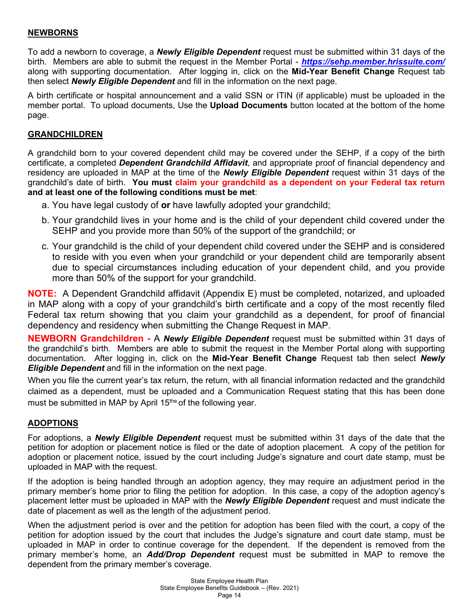# **NEWBORNS**

To add a newborn to coverage, a *Newly Eligible Dependent* request must be submitted within 31 days of the birth. Members are able to submit the request in the Member Portal - *<https://sehp.member.hrissuite.com/>* along with supporting documentation. After logging in, click on the **Mid-Year Benefit Change** Request tab then select *Newly Eligible Dependent* and fill in the information on the next page.

A birth certificate or hospital announcement and a valid SSN or ITIN (if applicable) must be uploaded in the member portal. To upload documents, Use the **Upload Documents** button located at the bottom of the home page.

# **GRANDCHILDREN**

A grandchild born to your covered dependent child may be covered under the SEHP, if a copy of the birth certificate, a completed *Dependent Grandchild Affidavit*, and appropriate proof of financial dependency and residency are uploaded in MAP at the time of the *Newly Eligible Dependent* request within 31 days of the grandchild's date of birth. **You must claim your grandchild as a dependent on your Federal tax return and at least one of the following conditions must be met**:

- a. You have legal custody of **or** have lawfully adopted your grandchild;
- b. Your grandchild lives in your home and is the child of your dependent child covered under the SEHP and you provide more than 50% of the support of the grandchild; or
- c. Your grandchild is the child of your dependent child covered under the SEHP and is considered to reside with you even when your grandchild or your dependent child are temporarily absent due to special circumstances including education of your dependent child, and you provide more than 50% of the support for your grandchild.

**NOTE:** A Dependent Grandchild affidavit (Appendix E) must be completed, notarized, and uploaded in MAP along with a copy of your grandchild's birth certificate and a copy of the most recently filed Federal tax return showing that you claim your grandchild as a dependent, for proof of financial dependency and residency when submitting the Change Request in MAP.

**NEWBORN Grandchildren -** A *Newly Eligible Dependent* request must be submitted within 31 days of the grandchild's birth. Members are able to submit the request in the Member Portal along with supporting documentation. After logging in, click on the **Mid-Year Benefit Change** Request tab then select *Newly Eligible Dependent* and fill in the information on the next page.

When you file the current year's tax return, the return, with all financial information redacted and the grandchild claimed as a dependent, must be uploaded and a Communication Request stating that this has been done must be submitted in MAP by April 15<sup>the</sup> of the following year.

# **ADOPTIONS**

For adoptions, a *Newly Eligible Dependent* request must be submitted within 31 days of the date that the petition for adoption or placement notice is filed or the date of adoption placement. A copy of the petition for adoption or placement notice, issued by the court including Judge's signature and court date stamp, must be uploaded in MAP with the request.

If the adoption is being handled through an adoption agency, they may require an adjustment period in the primary member's home prior to filing the petition for adoption. In this case, a copy of the adoption agency's placement letter must be uploaded in MAP with the *Newly Eligible Dependent* request and must indicate the date of placement as well as the length of the adjustment period.

When the adjustment period is over and the petition for adoption has been filed with the court, a copy of the petition for adoption issued by the court that includes the Judge's signature and court date stamp, must be uploaded in MAP in order to continue coverage for the dependent. If the dependent is removed from the primary member's home, an *Add/Drop Dependent* request must be submitted in MAP to remove the dependent from the primary member's coverage.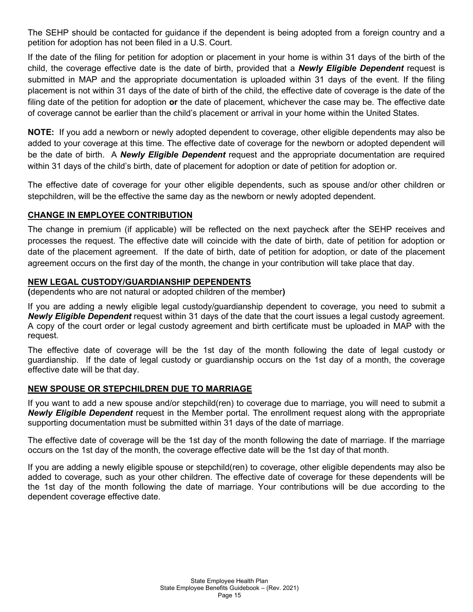The SEHP should be contacted for guidance if the dependent is being adopted from a foreign country and a petition for adoption has not been filed in a U.S. Court.

If the date of the filing for petition for adoption or placement in your home is within 31 days of the birth of the child, the coverage effective date is the date of birth, provided that a *Newly Eligible Dependent* request is submitted in MAP and the appropriate documentation is uploaded within 31 days of the event. If the filing placement is not within 31 days of the date of birth of the child, the effective date of coverage is the date of the filing date of the petition for adoption **or** the date of placement, whichever the case may be. The effective date of coverage cannot be earlier than the child's placement or arrival in your home within the United States.

**NOTE:** If you add a newborn or newly adopted dependent to coverage, other eligible dependents may also be added to your coverage at this time. The effective date of coverage for the newborn or adopted dependent will be the date of birth. A *Newly Eligible Dependent* request and the appropriate documentation are required within 31 days of the child's birth, date of placement for adoption or date of petition for adoption or.

The effective date of coverage for your other eligible dependents, such as spouse and/or other children or stepchildren, will be the effective the same day as the newborn or newly adopted dependent.

# **CHANGE IN EMPLOYEE CONTRIBUTION**

The change in premium (if applicable) will be reflected on the next paycheck after the SEHP receives and processes the request. The effective date will coincide with the date of birth, date of petition for adoption or date of the placement agreement. If the date of birth, date of petition for adoption, or date of the placement agreement occurs on the first day of the month, the change in your contribution will take place that day.

# **NEW LEGAL CUSTODY/GUARDIANSHIP DEPENDENTS**

**(**dependents who are not natural or adopted children of the member**)**

If you are adding a newly eligible legal custody/guardianship dependent to coverage, you need to submit a *Newly Eligible Dependent* request within 31 days of the date that the court issues a legal custody agreement. A copy of the court order or legal custody agreement and birth certificate must be uploaded in MAP with the request.

The effective date of coverage will be the 1st day of the month following the date of legal custody or guardianship. If the date of legal custody or guardianship occurs on the 1st day of a month, the coverage effective date will be that day.

# **NEW SPOUSE OR STEPCHILDREN DUE TO MARRIAGE**

If you want to add a new spouse and/or stepchild(ren) to coverage due to marriage, you will need to submit a *Newly Eligible Dependent* request in the Member portal. The enrollment request along with the appropriate supporting documentation must be submitted within 31 days of the date of marriage.

The effective date of coverage will be the 1st day of the month following the date of marriage. If the marriage occurs on the 1st day of the month, the coverage effective date will be the 1st day of that month.

If you are adding a newly eligible spouse or stepchild(ren) to coverage, other eligible dependents may also be added to coverage, such as your other children. The effective date of coverage for these dependents will be the 1st day of the month following the date of marriage. Your contributions will be due according to the dependent coverage effective date.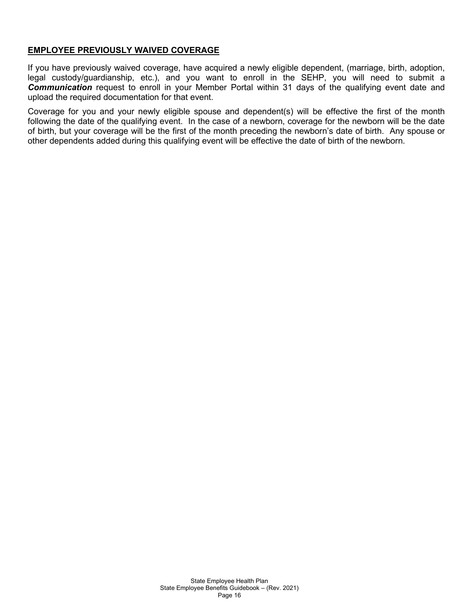## **EMPLOYEE PREVIOUSLY WAIVED COVERAGE**

If you have previously waived coverage, have acquired a newly eligible dependent, (marriage, birth, adoption, legal custody/guardianship, etc.), and you want to enroll in the SEHP, you will need to submit a *Communication* request to enroll in your Member Portal within 31 days of the qualifying event date and upload the required documentation for that event.

Coverage for you and your newly eligible spouse and dependent(s) will be effective the first of the month following the date of the qualifying event. In the case of a newborn, coverage for the newborn will be the date of birth, but your coverage will be the first of the month preceding the newborn's date of birth. Any spouse or other dependents added during this qualifying event will be effective the date of birth of the newborn.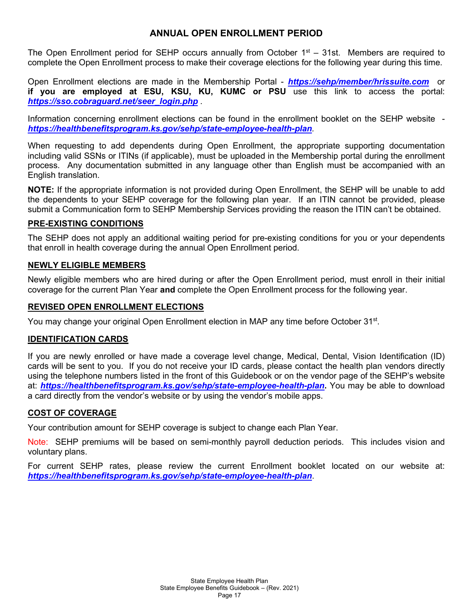# **ANNUAL OPEN ENROLLMENT PERIOD**

The Open Enrollment period for SEHP occurs annually from October  $1<sup>st</sup> - 31$ st. Members are required to complete the Open Enrollment process to make their coverage elections for the following year during this time.

Open Enrollment elections are made in the Membership Portal - *<https://sehp/member/hrissuite.com>* or **if you are employed at ESU, KSU, KU, KUMC or PSU** use this link to access the portal: *[https://sso.cobraguard.net/seer\\_login.php](https://sso.cobraguard.net/seer_login.php)* .

Information concerning enrollment elections can be found in the enrollment booklet on the SEHP website *<https://healthbenefitsprogram.ks.gov/sehp/state-employee-health-plan>.*

When requesting to add dependents during Open Enrollment, the appropriate supporting documentation including valid SSNs or ITINs (if applicable), must be uploaded in the Membership portal during the enrollment process. Any documentation submitted in any language other than English must be accompanied with an English translation.

**NOTE:** If the appropriate information is not provided during Open Enrollment, the SEHP will be unable to add the dependents to your SEHP coverage for the following plan year. If an ITIN cannot be provided, please submit a Communication form to SEHP Membership Services providing the reason the ITIN can't be obtained.

# **PRE-EXISTING CONDITIONS**

The SEHP does not apply an additional waiting period for pre-existing conditions for you or your dependents that enroll in health coverage during the annual Open Enrollment period.

## **NEWLY ELIGIBLE MEMBERS**

Newly eligible members who are hired during or after the Open Enrollment period, must enroll in their initial coverage for the current Plan Year **and** complete the Open Enrollment process for the following year.

## **REVISED OPEN ENROLLMENT ELECTIONS**

You may change your original Open Enrollment election in MAP any time before October 31<sup>st</sup>.

#### **IDENTIFICATION CARDS**

If you are newly enrolled or have made a coverage level change, Medical, Dental, Vision Identification (ID) cards will be sent to you. If you do not receive your ID cards, please contact the health plan vendors directly using the telephone numbers listed in the front of this Guidebook or on the vendor page of the SEHP's website at: *<https://healthbenefitsprogram.ks.gov/sehp/state-employee-health-plan>***.** You may be able to download a card directly from the vendor's website or by using the vendor's mobile apps.

#### **COST OF COVERAGE**

Your contribution amount for SEHP coverage is subject to change each Plan Year.

Note: SEHP premiums will be based on semi-monthly payroll deduction periods. This includes vision and voluntary plans.

For current SEHP rates, please review the current Enrollment booklet located on our website at: *<https://healthbenefitsprogram.ks.gov/sehp/state-employee-health-plan>*.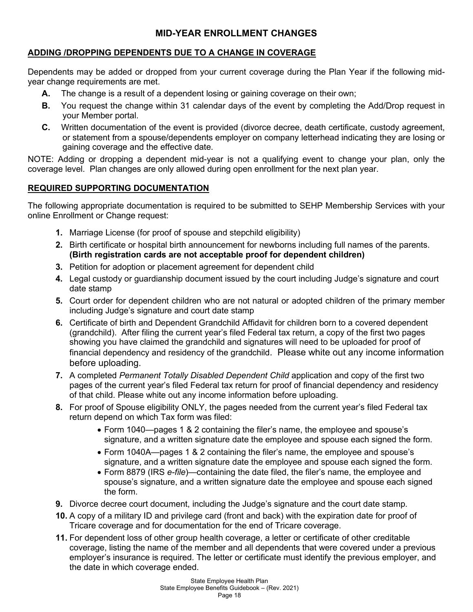# **MID-YEAR ENROLLMENT CHANGES**

# **ADDING /DROPPING DEPENDENTS DUE TO A CHANGE IN COVERAGE**

Dependents may be added or dropped from your current coverage during the Plan Year if the following midyear change requirements are met.

- **A.** The change is a result of a dependent losing or gaining coverage on their own;
- **B.** You request the change within 31 calendar days of the event by completing the Add/Drop request in your Member portal.
- **C.** Written documentation of the event is provided (divorce decree, death certificate, custody agreement, or statement from a spouse/dependents employer on company letterhead indicating they are losing or gaining coverage and the effective date.

NOTE: Adding or dropping a dependent mid-year is not a qualifying event to change your plan, only the coverage level. Plan changes are only allowed during open enrollment for the next plan year.

# **REQUIRED SUPPORTING DOCUMENTATION**

The following appropriate documentation is required to be submitted to SEHP Membership Services with your online Enrollment or Change request:

- **1.** Marriage License (for proof of spouse and stepchild eligibility)
- **2.** Birth certificate or hospital birth announcement for newborns including full names of the parents. **(Birth registration cards are not acceptable proof for dependent children)**
- **3.** Petition for adoption or placement agreement for dependent child
- **4.** Legal custody or guardianship document issued by the court including Judge's signature and court date stamp
- **5.** Court order for dependent children who are not natural or adopted children of the primary member including Judge's signature and court date stamp
- **6.** Certificate of birth and Dependent Grandchild Affidavit for children born to a covered dependent (grandchild). After filing the current year's filed Federal tax return, a copy of the first two pages showing you have claimed the grandchild and signatures will need to be uploaded for proof of financial dependency and residency of the grandchild. Please white out any income information before uploading.
- **7.** A completed *Permanent Totally Disabled Dependent Child* application and copy of the first two pages of the current year's filed Federal tax return for proof of financial dependency and residency of that child. Please white out any income information before uploading.
- **8.** For proof of Spouse eligibility ONLY, the pages needed from the current year's filed Federal tax return depend on which Tax form was filed:
	- Form 1040—pages 1 & 2 containing the filer's name, the employee and spouse's signature, and a written signature date the employee and spouse each signed the form.
	- Form 1040A—pages 1 & 2 containing the filer's name, the employee and spouse's signature, and a written signature date the employee and spouse each signed the form.
	- Form 8879 (IRS *e-file*)—containing the date filed, the filer's name, the employee and spouse's signature, and a written signature date the employee and spouse each signed the form.
- **9.** Divorce decree court document, including the Judge's signature and the court date stamp.
- **10.** A copy of a military ID and privilege card (front and back) with the expiration date for proof of Tricare coverage and for documentation for the end of Tricare coverage.
- **11.** For dependent loss of other group health coverage, a letter or certificate of other creditable coverage, listing the name of the member and all dependents that were covered under a previous employer's insurance is required. The letter or certificate must identify the previous employer, and the date in which coverage ended.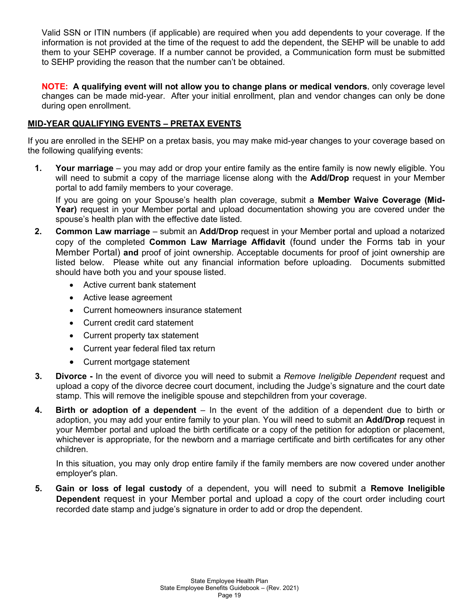Valid SSN or ITIN numbers (if applicable) are required when you add dependents to your coverage. If the information is not provided at the time of the request to add the dependent, the SEHP will be unable to add them to your SEHP coverage. If a number cannot be provided, a Communication form must be submitted to SEHP providing the reason that the number can't be obtained.

**NOTE: A qualifying event will not allow you to change plans or medical vendors**, only coverage level changes can be made mid-year. After your initial enrollment, plan and vendor changes can only be done during open enrollment.

# **MID-YEAR QUALIFYING EVENTS – PRETAX EVENTS**

If you are enrolled in the SEHP on a pretax basis, you may make mid-year changes to your coverage based on the following qualifying events:

**1. Your marriage** – you may add or drop your entire family as the entire family is now newly eligible. You will need to submit a copy of the marriage license along with the **Add/Drop** request in your Member portal to add family members to your coverage.

If you are going on your Spouse's health plan coverage, submit a **Member Waive Coverage (Mid-Year)** request in your Member portal and upload documentation showing you are covered under the spouse's health plan with the effective date listed.

- **2. Common Law marriage** submit an **Add/Drop** request in your Member portal and upload a notarized copy of the completed **Common Law Marriage Affidavit** (found under the Forms tab in your Member Portal) **and** proof of joint ownership. Acceptable documents for proof of joint ownership are listed below. Please white out any financial information before uploading. Documents submitted should have both you and your spouse listed.
	- Active current bank statement
	- Active lease agreement
	- Current homeowners insurance statement
	- Current credit card statement
	- Current property tax statement
	- Current year federal filed tax return
	- Current mortgage statement
- **3. Divorce -** In the event of divorce you will need to submit a *Remove Ineligible Dependent* request and upload a copy of the divorce decree court document, including the Judge's signature and the court date stamp. This will remove the ineligible spouse and stepchildren from your coverage.
- **4. Birth or adoption of a dependent** In the event of the addition of a dependent due to birth or adoption, you may add your entire family to your plan. You will need to submit an **Add/Drop** request in your Member portal and upload the birth certificate or a copy of the petition for adoption or placement, whichever is appropriate, for the newborn and a marriage certificate and birth certificates for any other children.

In this situation, you may only drop entire family if the family members are now covered under another employer's plan.

**5. Gain or loss of legal custody** of a dependent, you will need to submit a **Remove Ineligible Dependent** request in your Member portal and upload a copy of the court order including court recorded date stamp and judge's signature in order to add or drop the dependent.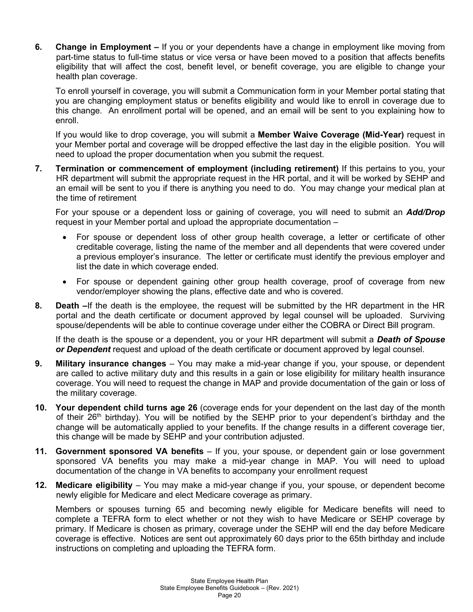**6. Change in Employment –** If you or your dependents have a change in employment like moving from part-time status to full-time status or vice versa or have been moved to a position that affects benefits eligibility that will affect the cost, benefit level, or benefit coverage, you are eligible to change your health plan coverage.

To enroll yourself in coverage, you will submit a Communication form in your Member portal stating that you are changing employment status or benefits eligibility and would like to enroll in coverage due to this change. An enrollment portal will be opened, and an email will be sent to you explaining how to enroll.

If you would like to drop coverage, you will submit a **Member Waive Coverage (Mid-Year)** request in your Member portal and coverage will be dropped effective the last day in the eligible position. You will need to upload the proper documentation when you submit the request.

**7. Termination or commencement of employment (including retirement)** If this pertains to you, your HR department will submit the appropriate request in the HR portal, and it will be worked by SEHP and an email will be sent to you if there is anything you need to do. You may change your medical plan at the time of retirement

For your spouse or a dependent loss or gaining of coverage, you will need to submit an *Add/Drop* request in your Member portal and upload the appropriate documentation –

- For spouse or dependent loss of other group health coverage, a letter or certificate of other creditable coverage, listing the name of the member and all dependents that were covered under a previous employer's insurance. The letter or certificate must identify the previous employer and list the date in which coverage ended.
- For spouse or dependent gaining other group health coverage, proof of coverage from new vendor/employer showing the plans, effective date and who is covered.
- **8. Death –**If the death is the employee, the request will be submitted by the HR department in the HR portal and the death certificate or document approved by legal counsel will be uploaded. Surviving spouse/dependents will be able to continue coverage under either the COBRA or Direct Bill program.

If the death is the spouse or a dependent, you or your HR department will submit a *Death of Spouse or Dependent* request and upload of the death certificate or document approved by legal counsel.

- **9. Military insurance changes** You may make a mid-year change if you, your spouse, or dependent are called to active military duty and this results in a gain or lose eligibility for military health insurance coverage. You will need to request the change in MAP and provide documentation of the gain or loss of the military coverage.
- **10. Your dependent child turns age 26** (coverage ends for your dependent on the last day of the month of their  $26<sup>th</sup>$  birthday). You will be notified by the SEHP prior to your dependent's birthday and the change will be automatically applied to your benefits. If the change results in a different coverage tier, this change will be made by SEHP and your contribution adjusted.
- **11. Government sponsored VA benefits**  If you, your spouse, or dependent gain or lose government sponsored VA benefits you may make a mid-year change in MAP. You will need to upload documentation of the change in VA benefits to accompany your enrollment request
- **12. Medicare eligibility**  You may make a mid-year change if you, your spouse, or dependent become newly eligible for Medicare and elect Medicare coverage as primary.

Members or spouses turning 65 and becoming newly eligible for Medicare benefits will need to complete a TEFRA form to elect whether or not they wish to have Medicare or SEHP coverage by primary. If Medicare is chosen as primary, coverage under the SEHP will end the day before Medicare coverage is effective. Notices are sent out approximately 60 days prior to the 65th birthday and include instructions on completing and uploading the TEFRA form.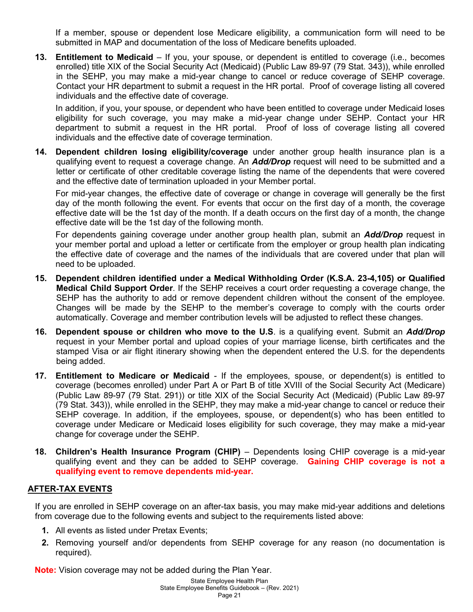If a member, spouse or dependent lose Medicare eligibility, a communication form will need to be submitted in MAP and documentation of the loss of Medicare benefits uploaded.

**13. Entitlement to Medicaid** – If you, your spouse, or dependent is entitled to coverage (i.e., becomes enrolled) title XIX of the Social Security Act (Medicaid) (Public Law 89-97 (79 Stat. 343)), while enrolled in the SEHP, you may make a mid-year change to cancel or reduce coverage of SEHP coverage. Contact your HR department to submit a request in the HR portal. Proof of coverage listing all covered individuals and the effective date of coverage.

In addition, if you, your spouse, or dependent who have been entitled to coverage under Medicaid loses eligibility for such coverage, you may make a mid-year change under SEHP. Contact your HR department to submit a request in the HR portal. Proof of loss of coverage listing all covered individuals and the effective date of coverage termination.

**14. Dependent children losing eligibility/coverage** under another group health insurance plan is a qualifying event to request a coverage change. An *Add/Drop* request will need to be submitted and a letter or certificate of other creditable coverage listing the name of the dependents that were covered and the effective date of termination uploaded in your Member portal.

For mid-year changes, the effective date of coverage or change in coverage will generally be the first day of the month following the event. For events that occur on the first day of a month, the coverage effective date will be the 1st day of the month. If a death occurs on the first day of a month, the change effective date will be the 1st day of the following month.

For dependents gaining coverage under another group health plan, submit an *Add/Drop* request in your member portal and upload a letter or certificate from the employer or group health plan indicating the effective date of coverage and the names of the individuals that are covered under that plan will need to be uploaded.

- **15. Dependent children identified under a Medical Withholding Order (K.S.A. 23-4,105) or Qualified Medical Child Support Order**. If the SEHP receives a court order requesting a coverage change, the SEHP has the authority to add or remove dependent children without the consent of the employee. Changes will be made by the SEHP to the member's coverage to comply with the courts order automatically. Coverage and member contribution levels will be adjusted to reflect these changes.
- **16. Dependent spouse or children who move to the U.S**. is a qualifying event. Submit an *Add/Drop* request in your Member portal and upload copies of your marriage license, birth certificates and the stamped Visa or air flight itinerary showing when the dependent entered the U.S. for the dependents being added.
- **17. Entitlement to Medicare or Medicaid** If the employees, spouse, or dependent(s) is entitled to coverage (becomes enrolled) under Part A or Part B of title XVIII of the Social Security Act (Medicare) (Public Law 89-97 (79 Stat. 291)) or title XIX of the Social Security Act (Medicaid) (Public Law 89-97 (79 Stat. 343)), while enrolled in the SEHP, they may make a mid-year change to cancel or reduce their SEHP coverage. In addition, if the employees, spouse, or dependent(s) who has been entitled to coverage under Medicare or Medicaid loses eligibility for such coverage, they may make a mid-year change for coverage under the SEHP.
- **18. Children's Health Insurance Program (CHIP)** Dependents losing CHIP coverage is a mid-year qualifying event and they can be added to SEHP coverage. **Gaining CHIP coverage is not a qualifying event to remove dependents mid-year.**

# **AFTER-TAX EVENTS**

If you are enrolled in SEHP coverage on an after-tax basis, you may make mid-year additions and deletions from coverage due to the following events and subject to the requirements listed above:

- **1.** All events as listed under Pretax Events;
- **2.** Removing yourself and/or dependents from SEHP coverage for any reason (no documentation is required).

**Note:** Vision coverage may not be added during the Plan Year.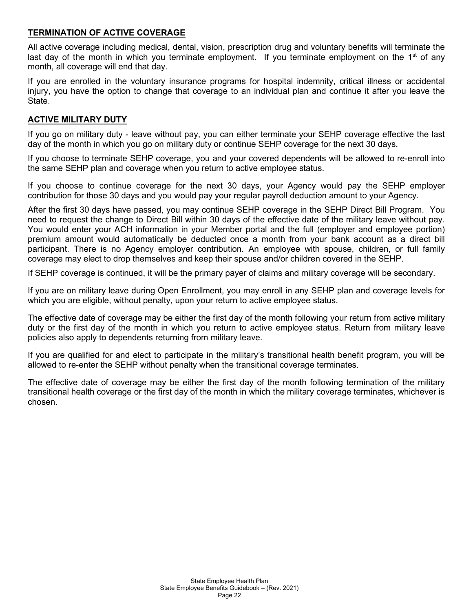## **TERMINATION OF ACTIVE COVERAGE**

All active coverage including medical, dental, vision, prescription drug and voluntary benefits will terminate the last day of the month in which you terminate employment. If you terminate employment on the  $1<sup>st</sup>$  of any month, all coverage will end that day.

If you are enrolled in the voluntary insurance programs for hospital indemnity, critical illness or accidental injury, you have the option to change that coverage to an individual plan and continue it after you leave the State.

## **ACTIVE MILITARY DUTY**

If you go on military duty - leave without pay, you can either terminate your SEHP coverage effective the last day of the month in which you go on military duty or continue SEHP coverage for the next 30 days.

If you choose to terminate SEHP coverage, you and your covered dependents will be allowed to re-enroll into the same SEHP plan and coverage when you return to active employee status.

If you choose to continue coverage for the next 30 days, your Agency would pay the SEHP employer contribution for those 30 days and you would pay your regular payroll deduction amount to your Agency.

After the first 30 days have passed, you may continue SEHP coverage in the SEHP Direct Bill Program. You need to request the change to Direct Bill within 30 days of the effective date of the military leave without pay. You would enter your ACH information in your Member portal and the full (employer and employee portion) premium amount would automatically be deducted once a month from your bank account as a direct bill participant. There is no Agency employer contribution. An employee with spouse, children, or full family coverage may elect to drop themselves and keep their spouse and/or children covered in the SEHP.

If SEHP coverage is continued, it will be the primary payer of claims and military coverage will be secondary.

If you are on military leave during Open Enrollment, you may enroll in any SEHP plan and coverage levels for which you are eligible, without penalty, upon your return to active employee status.

The effective date of coverage may be either the first day of the month following your return from active military duty or the first day of the month in which you return to active employee status. Return from military leave policies also apply to dependents returning from military leave.

If you are qualified for and elect to participate in the military's transitional health benefit program, you will be allowed to re-enter the SEHP without penalty when the transitional coverage terminates.

The effective date of coverage may be either the first day of the month following termination of the military transitional health coverage or the first day of the month in which the military coverage terminates, whichever is chosen.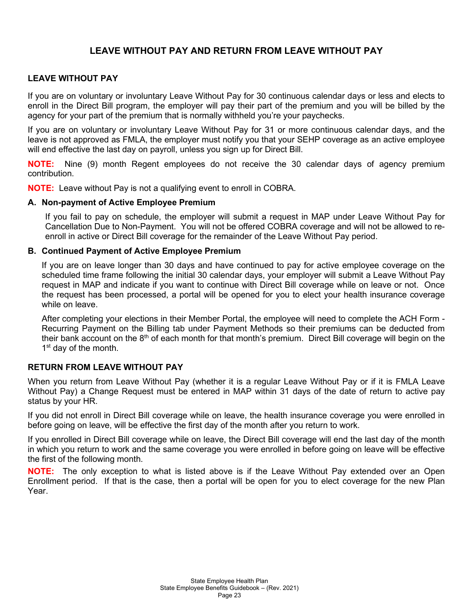# **LEAVE WITHOUT PAY AND RETURN FROM LEAVE WITHOUT PAY**

## **LEAVE WITHOUT PAY**

If you are on voluntary or involuntary Leave Without Pay for 30 continuous calendar days or less and elects to enroll in the Direct Bill program, the employer will pay their part of the premium and you will be billed by the agency for your part of the premium that is normally withheld you're your paychecks.

If you are on voluntary or involuntary Leave Without Pay for 31 or more continuous calendar days, and the leave is not approved as FMLA, the employer must notify you that your SEHP coverage as an active employee will end effective the last day on payroll, unless you sign up for Direct Bill.

**NOTE:** Nine (9) month Regent employees do not receive the 30 calendar days of agency premium contribution.

**NOTE:** Leave without Pay is not a qualifying event to enroll in COBRA.

#### **A. Non-payment of Active Employee Premium**

If you fail to pay on schedule, the employer will submit a request in MAP under Leave Without Pay for Cancellation Due to Non-Payment. You will not be offered COBRA coverage and will not be allowed to reenroll in active or Direct Bill coverage for the remainder of the Leave Without Pay period.

#### **B. Continued Payment of Active Employee Premium**

If you are on leave longer than 30 days and have continued to pay for active employee coverage on the scheduled time frame following the initial 30 calendar days, your employer will submit a Leave Without Pay request in MAP and indicate if you want to continue with Direct Bill coverage while on leave or not. Once the request has been processed, a portal will be opened for you to elect your health insurance coverage while on leave.

After completing your elections in their Member Portal, the employee will need to complete the ACH Form - Recurring Payment on the Billing tab under Payment Methods so their premiums can be deducted from their bank account on the 8<sup>th</sup> of each month for that month's premium. Direct Bill coverage will begin on the 1<sup>st</sup> day of the month.

## **RETURN FROM LEAVE WITHOUT PAY**

When you return from Leave Without Pay (whether it is a regular Leave Without Pay or if it is FMLA Leave Without Pay) a Change Request must be entered in MAP within 31 days of the date of return to active pay status by your HR.

If you did not enroll in Direct Bill coverage while on leave, the health insurance coverage you were enrolled in before going on leave, will be effective the first day of the month after you return to work.

If you enrolled in Direct Bill coverage while on leave, the Direct Bill coverage will end the last day of the month in which you return to work and the same coverage you were enrolled in before going on leave will be effective the first of the following month.

**NOTE:** The only exception to what is listed above is if the Leave Without Pay extended over an Open Enrollment period. If that is the case, then a portal will be open for you to elect coverage for the new Plan Year.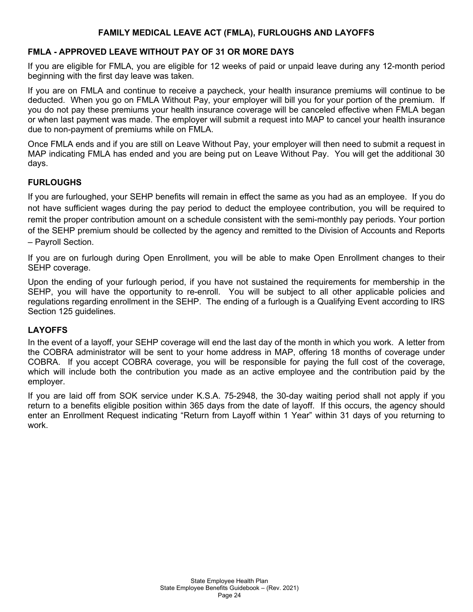# **FAMILY MEDICAL LEAVE ACT (FMLA), FURLOUGHS AND LAYOFFS**

# **FMLA - APPROVED LEAVE WITHOUT PAY OF 31 OR MORE DAYS**

If you are eligible for FMLA, you are eligible for 12 weeks of paid or unpaid leave during any 12-month period beginning with the first day leave was taken.

If you are on FMLA and continue to receive a paycheck, your health insurance premiums will continue to be deducted. When you go on FMLA Without Pay, your employer will bill you for your portion of the premium. If you do not pay these premiums your health insurance coverage will be canceled effective when FMLA began or when last payment was made. The employer will submit a request into MAP to cancel your health insurance due to non-payment of premiums while on FMLA.

Once FMLA ends and if you are still on Leave Without Pay, your employer will then need to submit a request in MAP indicating FMLA has ended and you are being put on Leave Without Pay. You will get the additional 30 days.

# **FURLOUGHS**

If you are furloughed, your SEHP benefits will remain in effect the same as you had as an employee. If you do not have sufficient wages during the pay period to deduct the employee contribution, you will be required to remit the proper contribution amount on a schedule consistent with the semi-monthly pay periods. Your portion of the SEHP premium should be collected by the agency and remitted to the Division of Accounts and Reports – Payroll Section.

If you are on furlough during Open Enrollment, you will be able to make Open Enrollment changes to their SEHP coverage.

Upon the ending of your furlough period, if you have not sustained the requirements for membership in the SEHP, you will have the opportunity to re-enroll. You will be subject to all other applicable policies and regulations regarding enrollment in the SEHP. The ending of a furlough is a Qualifying Event according to IRS Section 125 guidelines.

# **LAYOFFS**

In the event of a layoff, your SEHP coverage will end the last day of the month in which you work. A letter from the COBRA administrator will be sent to your home address in MAP, offering 18 months of coverage under COBRA. If you accept COBRA coverage, you will be responsible for paying the full cost of the coverage, which will include both the contribution you made as an active employee and the contribution paid by the employer.

If you are laid off from SOK service under K.S.A. 75-2948, the 30-day waiting period shall not apply if you return to a benefits eligible position within 365 days from the date of layoff. If this occurs, the agency should enter an Enrollment Request indicating "Return from Layoff within 1 Year" within 31 days of you returning to work.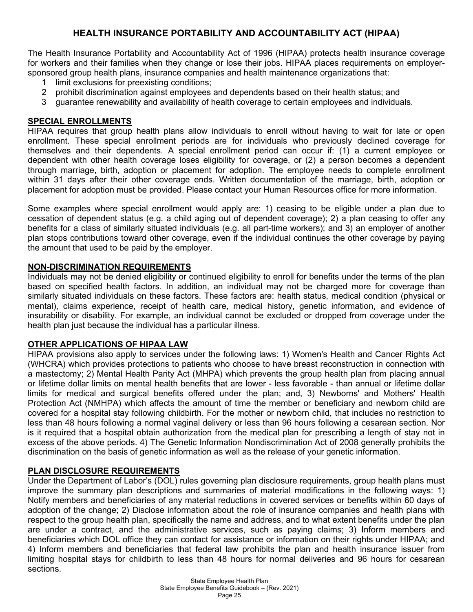# **HEALTH INSURANCE PORTABILITY AND ACCOUNTABILITY ACT (HIPAA)**

The Health Insurance Portability and Accountability Act of 1996 (HIPAA) protects health insurance coverage for workers and their families when they change or lose their jobs. HIPAA places requirements on employersponsored group health plans, insurance companies and health maintenance organizations that:

- 1 limit exclusions for preexisting conditions;<br>2 probibit discrimination against employees
- 2 prohibit discrimination against employees and dependents based on their health status; and
- 3 guarantee renewability and availability of health coverage to certain employees and individuals.

# **SPECIAL ENROLLMENTS**

HIPAA requires that group health plans allow individuals to enroll without having to wait for late or open enrollment. These special enrollment periods are for individuals who previously declined coverage for themselves and their dependents. A special enrollment period can occur if: (1) a current employee or dependent with other health coverage loses eligibility for coverage, or (2) a person becomes a dependent through marriage, birth, adoption or placement for adoption. The employee needs to complete enrollment within 31 days after their other coverage ends. Written documentation of the marriage, birth, adoption or placement for adoption must be provided. Please contact your Human Resources office for more information.

Some examples where special enrollment would apply are: 1) ceasing to be eligible under a plan due to cessation of dependent status (e.g. a child aging out of dependent coverage); 2) a plan ceasing to offer any benefits for a class of similarly situated individuals (e.g. all part-time workers); and 3) an employer of another plan stops contributions toward other coverage, even if the individual continues the other coverage by paying the amount that used to be paid by the employer.

## **NON-DISCRIMINATION REQUIREMENTS**

Individuals may not be denied eligibility or continued eligibility to enroll for benefits under the terms of the plan based on specified health factors. In addition, an individual may not be charged more for coverage than similarly situated individuals on these factors. These factors are: health status, medical condition (physical or mental), claims experience, receipt of health care, medical history, genetic information, and evidence of insurability or disability. For example, an individual cannot be excluded or dropped from coverage under the health plan just because the individual has a particular illness.

# **OTHER APPLICATIONS OF HIPAA LAW**

HIPAA provisions also apply to services under the following laws: 1) Women's Health and Cancer Rights Act (WHCRA) which provides protections to patients who choose to have breast reconstruction in connection with a mastectomy; 2) Mental Health Parity Act (MHPA) which prevents the [group health plan](http://www.cms.hhs.gov/hipaa/hipaa1/phig_Includes/011.asp) from placing annual or lifetime dollar limits on mental health benefits that are lower - less favorable - than annual or lifetime dollar limits for medical and surgical benefits offered under the plan; and, 3) Newborns' and Mothers' Health Protection Act (NMHPA) which affects the amount of time the member or beneficiary and newborn child are covered for a hospital stay following childbirth. For the mother or newborn child, that includes no restriction to less than 48 hours following a normal vaginal delivery or less than 96 hours following a cesarean section. Nor is it required that a hospital obtain authorization from the medical plan for prescribing a length of stay not in excess of the above periods. 4) The Genetic Information Nondiscrimination Act of 2008 generally prohibits the discrimination on the basis of genetic information as well as the release of your genetic information.

# **PLAN DISCLOSURE REQUIREMENTS**

Under the Department of Labor's (DOL) rules governing plan disclosure requirements, group health plans must improve the summary plan descriptions and summaries of material modifications in the following ways: 1) Notify members and beneficiaries of any material reductions in covered services or benefits within 60 days of adoption of the change; 2) Disclose information about the role of insurance companies and health plans with respect to the group health plan, specifically the name and address, and to what extent benefits under the plan are under a contract, and the administrative services, such as paying claims; 3) Inform members and beneficiaries which DOL office they can contact for assistance or information on their rights under HIPAA; and 4) Inform members and beneficiaries that federal law prohibits the plan and health insurance issuer from limiting hospital stays for childbirth to less than 48 hours for normal deliveries and 96 hours for cesarean sections.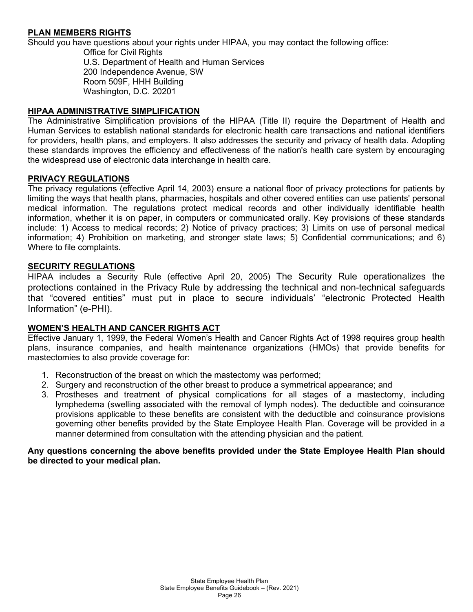# **PLAN MEMBERS RIGHTS**

Should you have questions about your rights under HIPAA, you may contact the following office:

Office for Civil Rights U.S. Department of Health and Human Services 200 Independence Avenue, SW Room 509F, HHH Building Washington, D.C. 20201

#### **HIPAA ADMINISTRATIVE SIMPLIFICATION**

The Administrative Simplification provisions of the HIPAA (Title II) require the Department of Health and Human Services to establish national standards for electronic health care transactions and national identifiers for providers, health plans, and employers. It also addresses the security and privacy of health data. Adopting these standards improves the efficiency and effectiveness of the nation's health care system by encouraging the widespread use of electronic data interchange in health care.

#### **PRIVACY REGULATIONS**

The privacy regulations (effective April 14, 2003) ensure a national floor of privacy protections for patients by limiting the ways that health plans, pharmacies, hospitals and other covered entities can use patients' personal medical information. The regulations protect medical records and other individually identifiable health information, whether it is on paper, in computers or communicated orally. Key provisions of these standards include: 1) Access to medical records; 2) Notice of privacy practices; 3) Limits on use of personal medical information; 4) Prohibition on marketing, and stronger state laws; 5) Confidential communications; and 6) Where to file complaints.

#### **SECURITY REGULATIONS**

HIPAA includes a Security Rule (effective April 20, 2005) The Security Rule operationalizes the protections contained in the Privacy Rule by addressing the technical and non-technical safeguards that "covered entities" must put in place to secure individuals' "electronic Protected Health Information" (e-PHI).

#### **WOMEN'S HEALTH AND CANCER RIGHTS ACT**

Effective January 1, 1999, the Federal Women's Health and Cancer Rights Act of 1998 requires group health plans, insurance companies, and health maintenance organizations (HMOs) that provide benefits for mastectomies to also provide coverage for:

- 1. Reconstruction of the breast on which the mastectomy was performed;
- 2. Surgery and reconstruction of the other breast to produce a symmetrical appearance; and
- 3. Prostheses and treatment of physical complications for all stages of a mastectomy, including lymphedema (swelling associated with the removal of lymph nodes). The deductible and coinsurance provisions applicable to these benefits are consistent with the deductible and coinsurance provisions governing other benefits provided by the State Employee Health Plan. Coverage will be provided in a manner determined from consultation with the attending physician and the patient.

#### **Any questions concerning the above benefits provided under the State Employee Health Plan should be directed to your medical plan.**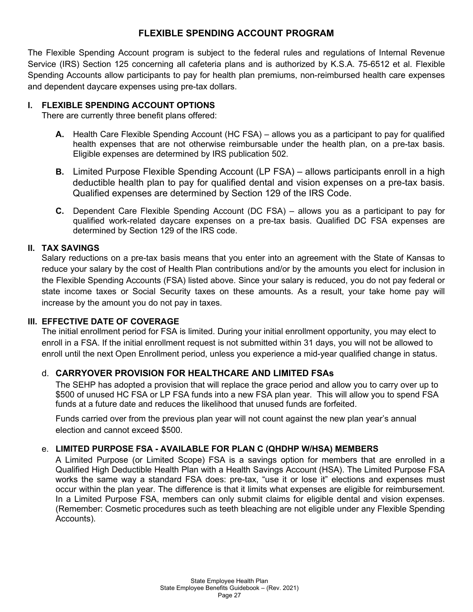# **FLEXIBLE SPENDING ACCOUNT PROGRAM**

The Flexible Spending Account program is subject to the federal rules and regulations of Internal Revenue Service (IRS) Section 125 concerning all cafeteria plans and is authorized by K.S.A. 75-6512 et al. Flexible Spending Accounts allow participants to pay for health plan premiums, non-reimbursed health care expenses and dependent daycare expenses using pre-tax dollars.

# **I. FLEXIBLE SPENDING ACCOUNT OPTIONS**

There are currently three benefit plans offered:

- **A.** Health Care Flexible Spending Account (HC FSA) allows you as a participant to pay for qualified health expenses that are not otherwise reimbursable under the health plan, on a pre-tax basis. Eligible expenses are determined by IRS publication 502.
- **B.** Limited Purpose Flexible Spending Account (LP FSA) allows participants enroll in a high deductible health plan to pay for qualified dental and vision expenses on a pre-tax basis. Qualified expenses are determined by Section 129 of the IRS Code.
- **C.** Dependent Care Flexible Spending Account (DC FSA) allows you as a participant to pay for qualified work-related daycare expenses on a pre-tax basis. Qualified DC FSA expenses are determined by Section 129 of the IRS code.

# **II. TAX SAVINGS**

Salary reductions on a pre-tax basis means that you enter into an agreement with the State of Kansas to reduce your salary by the cost of Health Plan contributions and/or by the amounts you elect for inclusion in the Flexible Spending Accounts (FSA) listed above. Since your salary is reduced, you do not pay federal or state income taxes or Social Security taxes on these amounts. As a result, your take home pay will increase by the amount you do not pay in taxes.

# **III. EFFECTIVE DATE OF COVERAGE**

The initial enrollment period for FSA is limited. During your initial enrollment opportunity, you may elect to enroll in a FSA. If the initial enrollment request is not submitted within 31 days, you will not be allowed to enroll until the next Open Enrollment period, unless you experience a mid-year qualified change in status.

# d. **CARRYOVER PROVISION FOR HEALTHCARE AND LIMITED FSAs**

The SEHP has adopted a provision that will replace the grace period and allow you to carry over up to \$500 of unused HC FSA or LP FSA funds into a new FSA plan year. This will allow you to spend FSA funds at a future date and reduces the likelihood that unused funds are forfeited.

Funds carried over from the previous plan year will not count against the new plan year's annual election and cannot exceed \$500.

# e. **LIMITED PURPOSE FSA - AVAILABLE FOR PLAN C (QHDHP W/HSA) MEMBERS**

A Limited Purpose (or Limited Scope) FSA is a savings option for members that are enrolled in a Qualified High Deductible Health Plan with a Health Savings Account (HSA). The Limited Purpose FSA works the same way a standard FSA does: pre-tax, "use it or lose it" elections and expenses must occur within the plan year. The difference is that it limits what expenses are eligible for reimbursement. In a Limited Purpose FSA, members can only submit claims for eligible dental and vision expenses. (Remember: Cosmetic procedures such as teeth bleaching are not eligible under any Flexible Spending Accounts).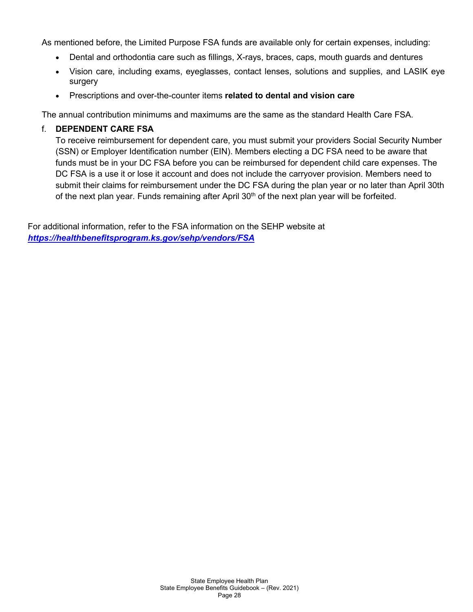As mentioned before, the Limited Purpose FSA funds are available only for certain expenses, including:

- Dental and orthodontia care such as fillings, X-rays, braces, caps, mouth guards and dentures
- Vision care, including exams, eyeglasses, contact lenses, solutions and supplies, and LASIK eye surgery
- Prescriptions and over-the-counter items **related to dental and vision care**

The annual contribution minimums and maximums are the same as the standard Health Care FSA.

# f. **DEPENDENT CARE FSA**

To receive reimbursement for dependent care, you must submit your providers Social Security Number (SSN) or Employer Identification number (EIN). Members electing a DC FSA need to be aware that funds must be in your DC FSA before you can be reimbursed for dependent child care expenses. The DC FSA is a use it or lose it account and does not include the carryover provision. Members need to submit their claims for reimbursement under the DC FSA during the plan year or no later than April 30th of the next plan year. Funds remaining after April  $30<sup>th</sup>$  of the next plan year will be forfeited.

For additional information, refer to the FSA information on the SEHP website at *<https://healthbenefitsprogram.ks.gov/sehp/vendors/FSA>*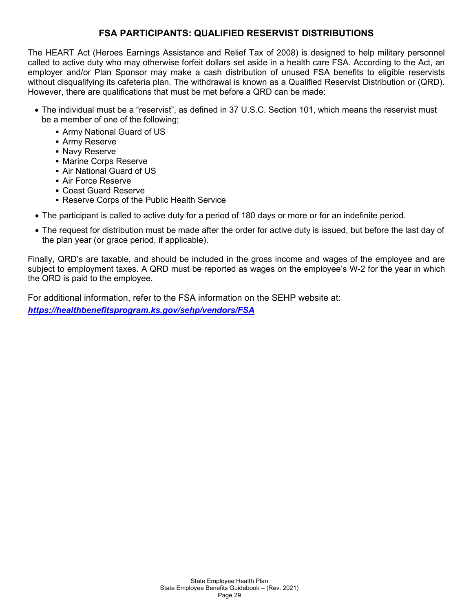# **FSA PARTICIPANTS: QUALIFIED RESERVIST DISTRIBUTIONS**

The HEART Act (Heroes Earnings Assistance and Relief Tax of 2008) is designed to help military personnel called to active duty who may otherwise forfeit dollars set aside in a health care FSA. According to the Act, an employer and/or Plan Sponsor may make a cash distribution of unused FSA benefits to eligible reservists without disqualifying its cafeteria plan. The withdrawal is known as a Qualified Reservist Distribution or (QRD). However, there are qualifications that must be met before a QRD can be made:

- The individual must be a "reservist", as defined in 37 U.S.C. Section 101, which means the reservist must be a member of one of the following;
	- Army National Guard of US
	- **Army Reserve**
	- **Navy Reserve**
	- **Marine Corps Reserve**
	- Air National Guard of US
	- Air Force Reserve
	- Coast Guard Reserve
	- Reserve Corps of the Public Health Service
- The participant is called to active duty for a period of 180 days or more or for an indefinite period.
- The request for distribution must be made after the order for active duty is issued, but before the last day of the plan year (or grace period, if applicable).

Finally, QRD's are taxable, and should be included in the gross income and wages of the employee and are subject to employment taxes. A QRD must be reported as wages on the employee's W-2 for the year in which the QRD is paid to the employee.

For additional information, refer to the FSA information on the SEHP website at: *<https://healthbenefitsprogram.ks.gov/sehp/vendors/FSA>*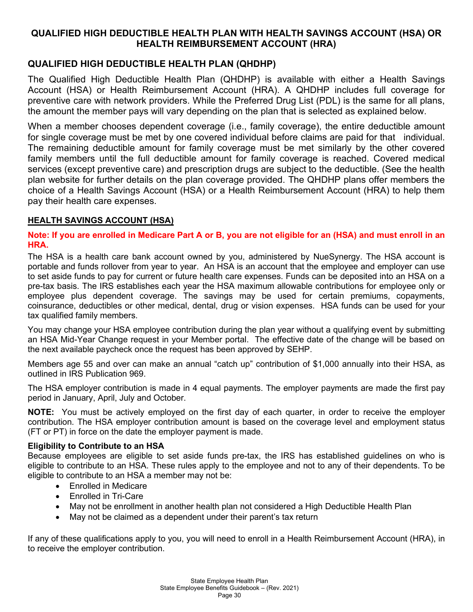# **QUALIFIED HIGH DEDUCTIBLE HEALTH PLAN WITH HEALTH SAVINGS ACCOUNT (HSA) OR HEALTH REIMBURSEMENT ACCOUNT (HRA)**

# **QUALIFIED HIGH DEDUCTIBLE HEALTH PLAN (QHDHP)**

The Qualified High Deductible Health Plan (QHDHP) is available with either a Health Savings Account (HSA) or Health Reimbursement Account (HRA). A QHDHP includes full coverage for preventive care with network providers. While the Preferred Drug List (PDL) is the same for all plans, the amount the member pays will vary depending on the plan that is selected as explained below.

When a member chooses dependent coverage (i.e., family coverage), the entire deductible amount for single coverage must be met by one covered individual before claims are paid for that individual. The remaining deductible amount for family coverage must be met similarly by the other covered family members until the full deductible amount for family coverage is reached. Covered medical services (except preventive care) and prescription drugs are subject to the deductible. (See the health plan website for further details on the plan coverage provided. The QHDHP plans offer members the choice of a Health Savings Account (HSA) or a Health Reimbursement Account (HRA) to help them pay their health care expenses.

# **HEALTH SAVINGS ACCOUNT (HSA)**

## **Note: If you are enrolled in Medicare Part A or B, you are not eligible for an (HSA) and must enroll in an HRA.**

The HSA is a health care bank account owned by you, administered by NueSynergy. The HSA account is portable and funds rollover from year to year. An HSA is an account that the employee and employer can use to set aside funds to pay for current or future health care expenses. Funds can be deposited into an HSA on a pre-tax basis. The IRS establishes each year the HSA maximum allowable contributions for employee only or employee plus dependent coverage. The savings may be used for certain premiums, copayments, coinsurance, deductibles or other medical, dental, drug or vision expenses. HSA funds can be used for your tax qualified family members.

You may change your HSA employee contribution during the plan year without a qualifying event by submitting an HSA Mid-Year Change request in your Member portal. The effective date of the change will be based on the next available paycheck once the request has been approved by SEHP.

Members age 55 and over can make an annual "catch up" contribution of \$1,000 annually into their HSA, as outlined in IRS Publication 969.

The HSA employer contribution is made in 4 equal payments. The employer payments are made the first pay period in January, April, July and October.

**NOTE:** You must be actively employed on the first day of each quarter, in order to receive the employer contribution. The HSA employer contribution amount is based on the coverage level and employment status (FT or PT) in force on the date the employer payment is made.

# **Eligibility to Contribute to an HSA**

Because employees are eligible to set aside funds pre-tax, the IRS has established guidelines on who is eligible to contribute to an HSA. These rules apply to the employee and not to any of their dependents. To be eligible to contribute to an HSA a member may not be:

- Enrolled in Medicare
- Enrolled in Tri-Care
- May not be enrollment in another health plan not considered a High Deductible Health Plan
- May not be claimed as a dependent under their parent's tax return

If any of these qualifications apply to you, you will need to enroll in a Health Reimbursement Account (HRA), in to receive the employer contribution.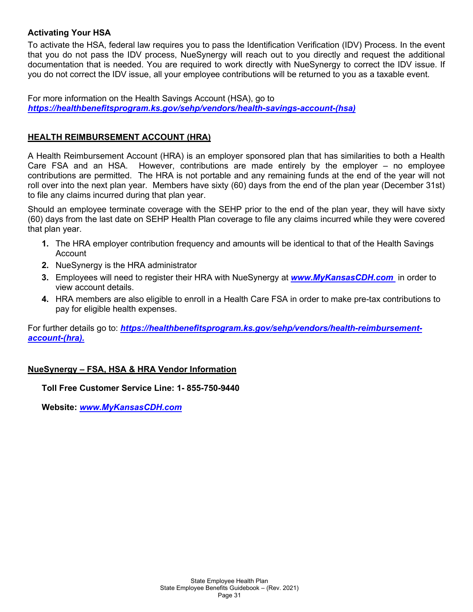# **Activating Your HSA**

To activate the HSA, federal law requires you to pass the Identification Verification (IDV) Process. In the event that you do not pass the IDV process, NueSynergy will reach out to you directly and request the additional documentation that is needed. You are required to work directly with NueSynergy to correct the IDV issue. If you do not correct the IDV issue, all your employee contributions will be returned to you as a taxable event.

For more information on the Health Savings Account (HSA), go to *[https://healthbenefitsprogram.ks.gov/sehp/vendors/health-savings-account-\(hsa\)](https://healthbenefitsprogram.ks.gov/sehp/vendors/health-savings-account-(hsa))*

# **HEALTH REIMBURSEMENT ACCOUNT (HRA)**

A Health Reimbursement Account (HRA) is an employer sponsored plan that has similarities to both a Health Care FSA and an HSA. However, contributions are made entirely by the employer – no employee contributions are permitted. The HRA is not portable and any remaining funds at the end of the year will not roll over into the next plan year. Members have sixty (60) days from the end of the plan year (December 31st) to file any claims incurred during that plan year.

Should an employee terminate coverage with the SEHP prior to the end of the plan year, they will have sixty (60) days from the last date on SEHP Health Plan coverage to file any claims incurred while they were covered that plan year.

- **1.** The HRA employer contribution frequency and amounts will be identical to that of the Health Savings Account
- **2.** NueSynergy is the HRA administrator
- **3.** Employees will need to register their HRA with NueSynergy at *[www.MyKansasCDH.com](http://www.mykansascdh.com/)* in order to view account details.
- **4.** HRA members are also eligible to enroll in a Health Care FSA in order to make pre-tax contributions to pay for eligible health expenses.

For further details go to: *https://healthbenefitsprogram.ks.gov/sehp/vendors/health-reimbursementaccount-(hra).*

# **NueSynergy – FSA, HSA & HRA Vendor Information**

**Toll Free Customer Service Line: 1- 855-750-9440**

**Website:** *[www.MyKansasCDH.com](http://www.mykansascdh.com/)*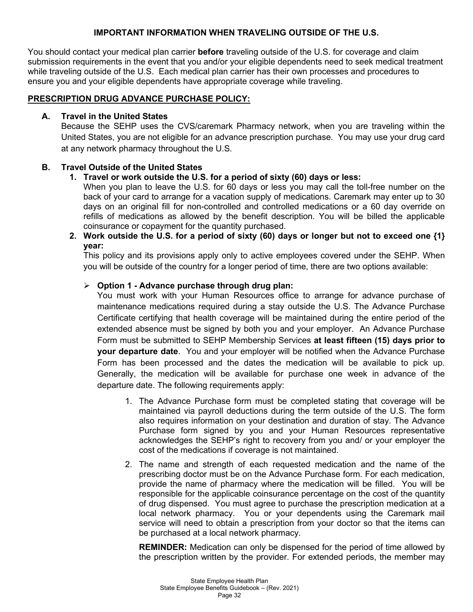# **IMPORTANT INFORMATION WHEN TRAVELING OUTSIDE OF THE U.S.**

You should contact your medical plan carrier **before** traveling outside of the U.S. for coverage and claim submission requirements in the event that you and/or your eligible dependents need to seek medical treatment while traveling outside of the U.S. Each medical plan carrier has their own processes and procedures to ensure you and your eligible dependents have appropriate coverage while traveling.

# **PRESCRIPTION DRUG ADVANCE PURCHASE POLICY:**

## **A. Travel in the United States**

Because the SEHP uses the CVS/caremark Pharmacy network, when you are traveling within the United States, you are not eligible for an advance prescription purchase. You may use your drug card at any network pharmacy throughout the U.S.

# **B. Travel Outside of the United States**

# **1. Travel or work outside the U.S. for a period of sixty (60) days or less:**

When you plan to leave the U.S. for 60 days or less you may call the toll-free number on the back of your card to arrange for a vacation supply of medications. Caremark may enter up to 30 days on an original fill for non-controlled and controlled medications or a 60 day override on refills of medications as allowed by the benefit description. You will be billed the applicable coinsurance or copayment for the quantity purchased.

**2. Work outside the U.S. for a period of sixty (60) days or longer but not to exceed one {1} year:**

This policy and its provisions apply only to active employees covered under the SEHP. When you will be outside of the country for a longer period of time, there are two options available:

# **Option 1 - Advance purchase through drug plan:**

You must work with your Human Resources office to arrange for advance purchase of maintenance medications required during a stay outside the U.S. The Advance Purchase Certificate certifying that health coverage will be maintained during the entire period of the extended absence must be signed by both you and your employer. An Advance Purchase Form must be submitted to SEHP Membership Services **at least fifteen (15) days prior to your departure date**. You and your employer will be notified when the Advance Purchase Form has been processed and the dates the medication will be available to pick up. Generally, the medication will be available for purchase one week in advance of the departure date. The following requirements apply:

- 1. The Advance Purchase form must be completed stating that coverage will be maintained via payroll deductions during the term outside of the U.S. The form also requires information on your destination and duration of stay. The Advance Purchase form signed by you and your Human Resources representative acknowledges the SEHP's right to recovery from you and/ or your employer the cost of the medications if coverage is not maintained.
- 2. The name and strength of each requested medication and the name of the prescribing doctor must be on the Advance Purchase form. For each medication, provide the name of pharmacy where the medication will be filled. You will be responsible for the applicable coinsurance percentage on the cost of the quantity of drug dispensed. You must agree to purchase the prescription medication at a local network pharmacy. You or your dependents using the Caremark mail service will need to obtain a prescription from your doctor so that the items can be purchased at a local network pharmacy.

**REMINDER:** Medication can only be dispensed for the period of time allowed by the prescription written by the provider. For extended periods, the member may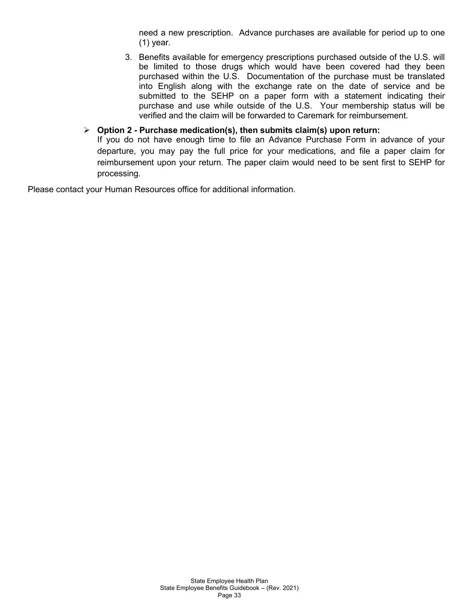need a new prescription. Advance purchases are available for period up to one (1) year.

3. Benefits available for emergency prescriptions purchased outside of the U.S. will be limited to those drugs which would have been covered had they been purchased within the U.S. Documentation of the purchase must be translated into English along with the exchange rate on the date of service and be submitted to the SEHP on a paper form with a statement indicating their purchase and use while outside of the U.S. Your membership status will be verified and the claim will be forwarded to Caremark for reimbursement.

## **Option 2 - Purchase medication(s), then submits claim(s) upon return:**

If you do not have enough time to file an Advance Purchase Form in advance of your departure, you may pay the full price for your medications, and file a paper claim for reimbursement upon your return. The paper claim would need to be sent first to SEHP for processing*.*

Please contact your Human Resources office for additional information.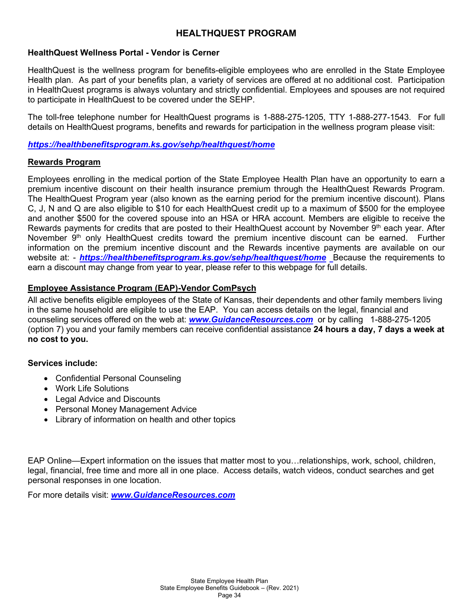# **HEALTHQUEST PROGRAM**

## **HealthQuest Wellness Portal - Vendor is Cerner**

HealthQuest is the wellness program for benefits-eligible employees who are enrolled in the State Employee Health plan. As part of your benefits plan, a variety of services are offered at no additional cost. Participation in HealthQuest programs is always voluntary and strictly confidential. Employees and spouses are not required to participate in HealthQuest to be covered under the SEHP.

The toll-free telephone number for HealthQuest programs is 1-888-275-1205, TTY 1-888-277-1543. For full details on HealthQuest programs, benefits and rewards for participation in the wellness program please visit:

*<https://healthbenefitsprogram.ks.gov/sehp/healthquest/home>*

## **Rewards Program**

Employees enrolling in the medical portion of the State Employee Health Plan have an opportunity to earn a premium incentive discount on their health insurance premium through the HealthQuest Rewards Program. The HealthQuest Program year (also known as the earning period for the premium incentive discount). Plans C, J, N and Q are also eligible to \$10 for each HealthQuest credit up to a maximum of \$500 for the employee and another \$500 for the covered spouse into an HSA or HRA account. Members are eligible to receive the Rewards payments for credits that are posted to their HealthQuest account by November 9<sup>th</sup> each year. After November 9<sup>th</sup> only HealthQuest credits toward the premium incentive discount can be earned. Further information on the premium incentive discount and the Rewards incentive payments are available on our website at: - *<https://healthbenefitsprogram.ks.gov/sehp/healthquest/home>* Because the requirements to earn a discount may change from year to year, please refer to this webpage for full details.

## **Employee Assistance Program (EAP)-Vendor ComPsych**

All active benefits eligible employees of the State of Kansas, their dependents and other family members living in the same household are eligible to use the EAP. You can access details on the legal, financial and counseling services offered on the web at: *[www.GuidanceResources.com](http://www.guidanceresources.com/)* or by calling 1-888-275-1205 (option 7) you and your family members can receive confidential assistance **24 hours a day, 7 days a week at no cost to you.**

#### **Services include:**

- Confidential Personal Counseling
- Work Life Solutions
- Legal Advice and Discounts
- Personal Money Management Advice
- Library of information on health and other topics

EAP Online—Expert information on the issues that matter most to you…relationships, work, school, children, legal, financial, free time and more all in one place. Access details, watch videos, conduct searches and get personal responses in one location.

For more details visit: *[www.GuidanceResources.com](http://www.guidanceresources.com/)*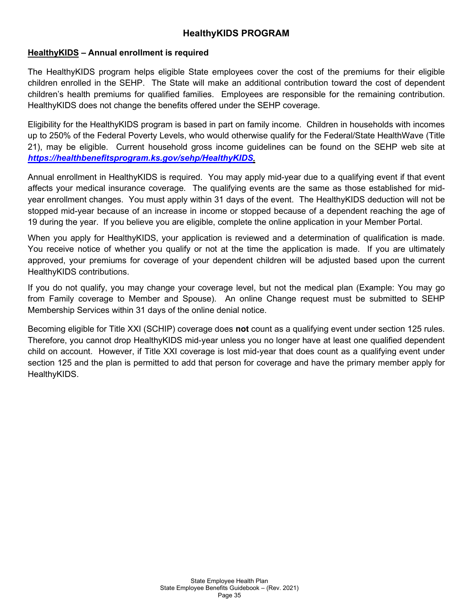# **HealthyKIDS PROGRAM**

# **HealthyKIDS – Annual enrollment is required**

The HealthyKIDS program helps eligible State employees cover the cost of the premiums for their eligible children enrolled in the SEHP. The State will make an additional contribution toward the cost of dependent children's health premiums for qualified families. Employees are responsible for the remaining contribution. HealthyKIDS does not change the benefits offered under the SEHP coverage.

Eligibility for the HealthyKIDS program is based in part on family income. Children in households with incomes up to 250% of the Federal Poverty Levels, who would otherwise qualify for the Federal/State HealthWave (Title 21), may be eligible. Current household gross income guidelines can be found on the SEHP web site at *[https://healthbenefitsprogram.ks.gov/sehp/HealthyKIDS.](https://healthbenefitsprogram.ks.gov/sehp/HealthyKIDS)* 

Annual enrollment in HealthyKIDS is required. You may apply mid-year due to a qualifying event if that event affects your medical insurance coverage. The qualifying events are the same as those established for midyear enrollment changes. You must apply within 31 days of the event. The HealthyKIDS deduction will not be stopped mid-year because of an increase in income or stopped because of a dependent reaching the age of 19 during the year. If you believe you are eligible, complete the online application in your Member Portal.

When you apply for HealthyKIDS, your application is reviewed and a determination of qualification is made. You receive notice of whether you qualify or not at the time the application is made. If you are ultimately approved, your premiums for coverage of your dependent children will be adjusted based upon the current HealthyKIDS contributions.

If you do not qualify, you may change your coverage level, but not the medical plan (Example: You may go from Family coverage to Member and Spouse). An online Change request must be submitted to SEHP Membership Services within 31 days of the online denial notice.

Becoming eligible for Title XXI (SCHIP) coverage does **not** count as a qualifying event under section 125 rules. Therefore, you cannot drop HealthyKIDS mid-year unless you no longer have at least one qualified dependent child on account. However, if Title XXI coverage is lost mid-year that does count as a qualifying event under section 125 and the plan is permitted to add that person for coverage and have the primary member apply for HealthyKIDS.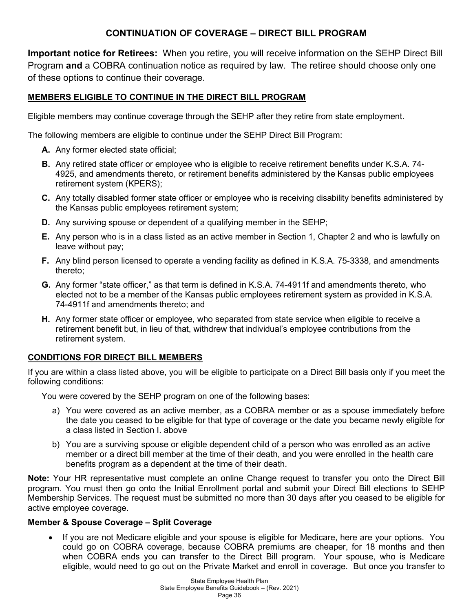# **CONTINUATION OF COVERAGE – DIRECT BILL PROGRAM**

**Important notice for Retirees:** When you retire, you will receive information on the SEHP Direct Bill Program **and** a COBRA continuation notice as required by law. The retiree should choose only one of these options to continue their coverage.

# **MEMBERS ELIGIBLE TO CONTINUE IN THE DIRECT BILL PROGRAM**

Eligible members may continue coverage through the SEHP after they retire from state employment.

The following members are eligible to continue under the SEHP Direct Bill Program:

- **A.** Any former elected state official;
- **B.** Any retired state officer or employee who is eligible to receive retirement benefits under K.S.A. 74- 4925, and amendments thereto, or retirement benefits administered by the Kansas public employees retirement system (KPERS);
- **C.** Any totally disabled former state officer or employee who is receiving disability benefits administered by the Kansas public employees retirement system;
- **D.** Any surviving spouse or dependent of a qualifying member in the SEHP;
- **E.** Any person who is in a class listed as an active member in Section 1, Chapter 2 and who is lawfully on leave without pay;
- **F.** Any blind person licensed to operate a vending facility as defined in K.S.A. 75-3338, and amendments thereto;
- **G.** Any former "state officer," as that term is defined in K.S.A. 74-4911f and amendments thereto, who elected not to be a member of the Kansas public employees retirement system as provided in K.S.A. 74-4911f and amendments thereto; and
- **H.** Any former state officer or employee, who separated from state service when eligible to receive a retirement benefit but, in lieu of that, withdrew that individual's employee contributions from the retirement system.

# **CONDITIONS FOR DIRECT BILL MEMBERS**

If you are within a class listed above, you will be eligible to participate on a Direct Bill basis only if you meet the following conditions:

You were covered by the SEHP program on one of the following bases:

- a) You were covered as an active member, as a COBRA member or as a spouse immediately before the date you ceased to be eligible for that type of coverage or the date you became newly eligible for a class listed in Section I. above
- b) You are a surviving spouse or eligible dependent child of a person who was enrolled as an active member or a direct bill member at the time of their death, and you were enrolled in the health care benefits program as a dependent at the time of their death.

**Note:** Your HR representative must complete an online Change request to transfer you onto the Direct Bill program. You must then go onto the Initial Enrollment portal and submit your Direct Bill elections to SEHP Membership Services. The request must be submitted no more than 30 days after you ceased to be eligible for active employee coverage.

# **Member & Spouse Coverage – Split Coverage**

• If you are not Medicare eligible and your spouse is eligible for Medicare, here are your options. You could go on COBRA coverage, because COBRA premiums are cheaper, for 18 months and then when COBRA ends you can transfer to the Direct Bill program. Your spouse, who is Medicare eligible, would need to go out on the Private Market and enroll in coverage. But once you transfer to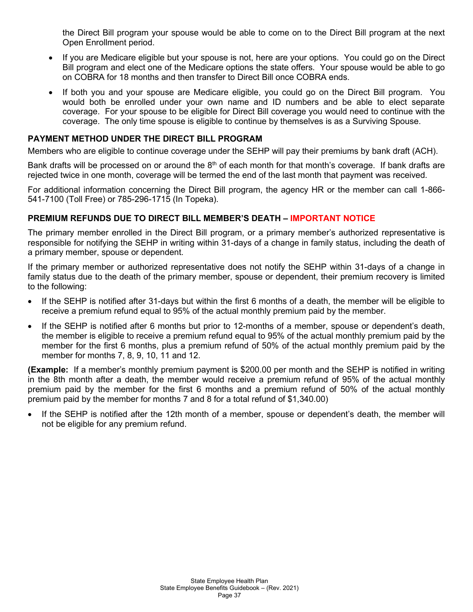the Direct Bill program your spouse would be able to come on to the Direct Bill program at the next Open Enrollment period.

- If you are Medicare eligible but your spouse is not, here are your options. You could go on the Direct Bill program and elect one of the Medicare options the state offers. Your spouse would be able to go on COBRA for 18 months and then transfer to Direct Bill once COBRA ends.
- If both you and your spouse are Medicare eligible, you could go on the Direct Bill program. You would both be enrolled under your own name and ID numbers and be able to elect separate coverage. For your spouse to be eligible for Direct Bill coverage you would need to continue with the coverage. The only time spouse is eligible to continue by themselves is as a Surviving Spouse.

# **PAYMENT METHOD UNDER THE DIRECT BILL PROGRAM**

Members who are eligible to continue coverage under the SEHP will pay their premiums by bank draft (ACH).

Bank drafts will be processed on or around the 8<sup>th</sup> of each month for that month's coverage. If bank drafts are rejected twice in one month, coverage will be termed the end of the last month that payment was received.

For additional information concerning the Direct Bill program, the agency HR or the member can call 1-866- 541-7100 (Toll Free) or 785-296-1715 (In Topeka).

# **PREMIUM REFUNDS DUE TO DIRECT BILL MEMBER'S DEATH – IMPORTANT NOTICE**

The primary member enrolled in the Direct Bill program, or a primary member's authorized representative is responsible for notifying the SEHP in writing within 31-days of a change in family status, including the death of a primary member, spouse or dependent.

If the primary member or authorized representative does not notify the SEHP within 31-days of a change in family status due to the death of the primary member, spouse or dependent, their premium recovery is limited to the following:

- If the SEHP is notified after 31-days but within the first 6 months of a death, the member will be eligible to receive a premium refund equal to 95% of the actual monthly premium paid by the member.
- If the SEHP is notified after 6 months but prior to 12-months of a member, spouse or dependent's death, the member is eligible to receive a premium refund equal to 95% of the actual monthly premium paid by the member for the first 6 months, plus a premium refund of 50% of the actual monthly premium paid by the member for months 7, 8, 9, 10, 11 and 12.

**(Example:** If a member's monthly premium payment is \$200.00 per month and the SEHP is notified in writing in the 8th month after a death, the member would receive a premium refund of 95% of the actual monthly premium paid by the member for the first 6 months and a premium refund of 50% of the actual monthly premium paid by the member for months 7 and 8 for a total refund of \$1,340.00)

If the SEHP is notified after the 12th month of a member, spouse or dependent's death, the member will not be eligible for any premium refund.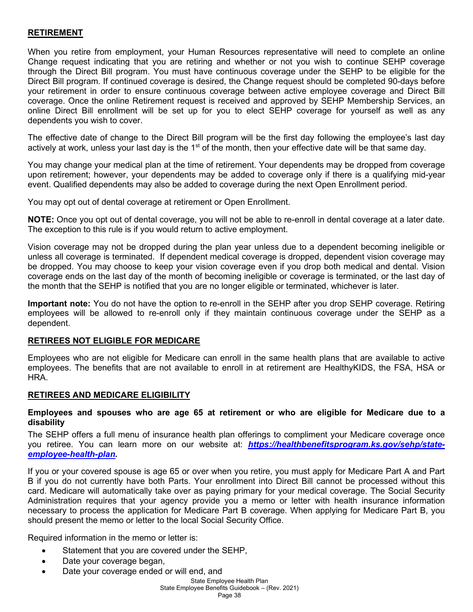## **RETIREMENT**

When you retire from employment, your Human Resources representative will need to complete an online Change request indicating that you are retiring and whether or not you wish to continue SEHP coverage through the Direct Bill program. You must have continuous coverage under the SEHP to be eligible for the Direct Bill program. If continued coverage is desired, the Change request should be completed 90-days before your retirement in order to ensure continuous coverage between active employee coverage and Direct Bill coverage. Once the online Retirement request is received and approved by SEHP Membership Services, an online Direct Bill enrollment will be set up for you to elect SEHP coverage for yourself as well as any dependents you wish to cover.

The effective date of change to the Direct Bill program will be the first day following the employee's last day actively at work, unless your last day is the 1<sup>st</sup> of the month, then your effective date will be that same day.

You may change your medical plan at the time of retirement. Your dependents may be dropped from coverage upon retirement; however, your dependents may be added to coverage only if there is a qualifying mid-year event. Qualified dependents may also be added to coverage during the next Open Enrollment period.

You may opt out of dental coverage at retirement or Open Enrollment.

**NOTE:** Once you opt out of dental coverage, you will not be able to re-enroll in dental coverage at a later date. The exception to this rule is if you would return to active employment.

Vision coverage may not be dropped during the plan year unless due to a dependent becoming ineligible or unless all coverage is terminated. If dependent medical coverage is dropped, dependent vision coverage may be dropped. You may choose to keep your vision coverage even if you drop both medical and dental. Vision coverage ends on the last day of the month of becoming ineligible or coverage is terminated, or the last day of the month that the SEHP is notified that you are no longer eligible or terminated, whichever is later.

**Important note:** You do not have the option to re-enroll in the SEHP after you drop SEHP coverage. Retiring employees will be allowed to re-enroll only if they maintain continuous coverage under the SEHP as a dependent.

#### **RETIREES NOT ELIGIBLE FOR MEDICARE**

Employees who are not eligible for Medicare can enroll in the same health plans that are available to active employees. The benefits that are not available to enroll in at retirement are HealthyKIDS, the FSA, HSA or HRA.

#### **RETIREES AND MEDICARE ELIGIBILITY**

#### **Employees and spouses who are age 65 at retirement or who are eligible for Medicare due to a disability**

The SEHP offers a full menu of insurance health plan offerings to compliment your Medicare coverage once you retiree. You can learn more on our website at: *[https://healthbenefitsprogram.ks.gov/sehp/state](https://healthbenefitsprogram.ks.gov/sehp/state-employee-health-plan)[employee-health-plan.](https://healthbenefitsprogram.ks.gov/sehp/state-employee-health-plan)*

If you or your covered spouse is age 65 or over when you retire, you must apply for Medicare Part A and Part B if you do not currently have both Parts. Your enrollment into Direct Bill cannot be processed without this card. Medicare will automatically take over as paying primary for your medical coverage. The Social Security Administration requires that your agency provide you a memo or letter with health insurance information necessary to process the application for Medicare Part B coverage. When applying for Medicare Part B, you should present the memo or letter to the local Social Security Office.

Required information in the memo or letter is:

- Statement that you are covered under the SEHP,
- Date your coverage began,
- Date your coverage ended or will end, and

# State Employee Health Plan

State Employee Benefits Guidebook – (Rev. 2021)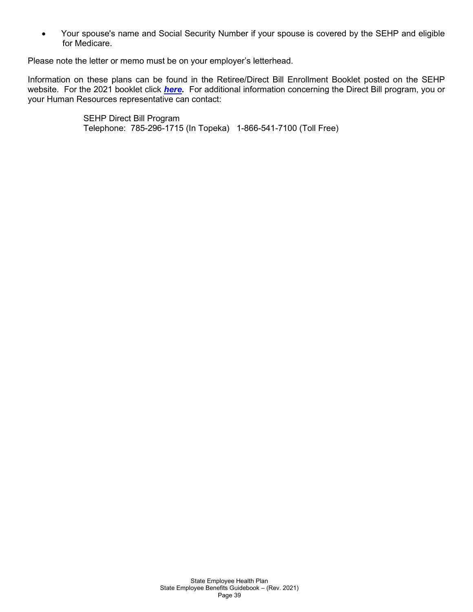• Your spouse's name and Social Security Number if your spouse is covered by the SEHP and eligible for Medicare.

Please note the letter or memo must be on your employer's letterhead.

Information on these plans can be found in the Retiree/Direct Bill Enrollment Booklet posted on the SEHP website. For the 2021 booklet click *[here.](https://healthbenefitsprogram.ks.gov/docs/default-source/site-documents/sehp/open-enrollment/2021/2021-books/sehp-retiree-and-direct-bill-enrollment-guide-accessible.pdf?sfvrsn=f0edd8b5_6)* For additional information concerning the Direct Bill program, you or your Human Resources representative can contact:

> SEHP Direct Bill Program Telephone: 785-296-1715 (In Topeka) 1-866-541-7100 (Toll Free)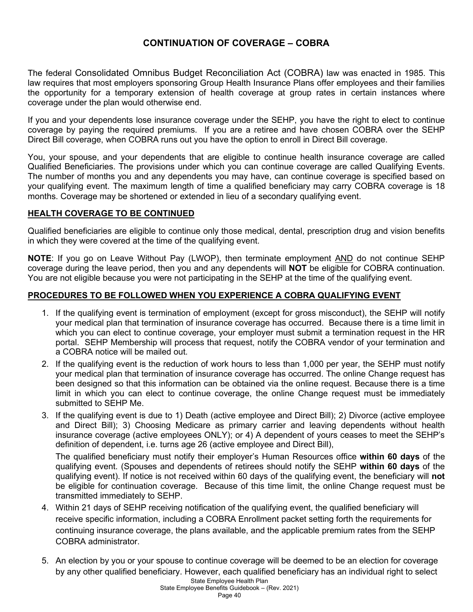# **CONTINUATION OF COVERAGE – COBRA**

The federal Consolidated Omnibus Budget Reconciliation Act (COBRA) law was enacted in 1985. This law requires that most employers sponsoring Group Health Insurance Plans offer employees and their families the opportunity for a temporary extension of health coverage at group rates in certain instances where coverage under the plan would otherwise end.

If you and your dependents lose insurance coverage under the SEHP, you have the right to elect to continue coverage by paying the required premiums. If you are a retiree and have chosen COBRA over the SEHP Direct Bill coverage, when COBRA runs out you have the option to enroll in Direct Bill coverage.

You, your spouse, and your dependents that are eligible to continue health insurance coverage are called Qualified Beneficiaries. The provisions under which you can continue coverage are called Qualifying Events. The number of months you and any dependents you may have, can continue coverage is specified based on your qualifying event. The maximum length of time a qualified beneficiary may carry COBRA coverage is 18 months. Coverage may be shortened or extended in lieu of a secondary qualifying event.

## **HEALTH COVERAGE TO BE CONTINUED**

Qualified beneficiaries are eligible to continue only those medical, dental, prescription drug and vision benefits in which they were covered at the time of the qualifying event.

**NOTE**: If you go on Leave Without Pay (LWOP), then terminate employment AND do not continue SEHP coverage during the leave period, then you and any dependents will **NOT** be eligible for COBRA continuation. You are not eligible because you were not participating in the SEHP at the time of the qualifying event.

## **PROCEDURES TO BE FOLLOWED WHEN YOU EXPERIENCE A COBRA QUALIFYING EVENT**

- 1. If the qualifying event is termination of employment (except for gross misconduct), the SEHP will notify your medical plan that termination of insurance coverage has occurred. Because there is a time limit in which you can elect to continue coverage, your employer must submit a termination request in the HR portal. SEHP Membership will process that request, notify the COBRA vendor of your termination and a COBRA notice will be mailed out.
- 2. If the qualifying event is the reduction of work hours to less than 1,000 per year, the SEHP must notify your medical plan that termination of insurance coverage has occurred. The online Change request has been designed so that this information can be obtained via the online request. Because there is a time limit in which you can elect to continue coverage, the online Change request must be immediately submitted to SEHP Me.
- 3. If the qualifying event is due to 1) Death (active employee and Direct Bill); 2) Divorce (active employee and Direct Bill); 3) Choosing Medicare as primary carrier and leaving dependents without health insurance coverage (active employees ONLY); or 4) A dependent of yours ceases to meet the SEHP's definition of dependent, i.e. turns age 26 (active employee and Direct Bill),

The qualified beneficiary must notify their employer's Human Resources office **within 60 days** of the qualifying event. (Spouses and dependents of retirees should notify the SEHP **within 60 days** of the qualifying event). If notice is not received within 60 days of the qualifying event, the beneficiary will **not** be eligible for continuation coverage. Because of this time limit, the online Change request must be transmitted immediately to SEHP.

- 4. Within 21 days of SEHP receiving notification of the qualifying event, the qualified beneficiary will receive specific information, including a COBRA Enrollment packet setting forth the requirements for continuing insurance coverage, the plans available, and the applicable premium rates from the SEHP COBRA administrator.
- State Employee Health Plan 5. An election by you or your spouse to continue coverage will be deemed to be an election for coverage by any other qualified beneficiary. However, each qualified beneficiary has an individual right to select